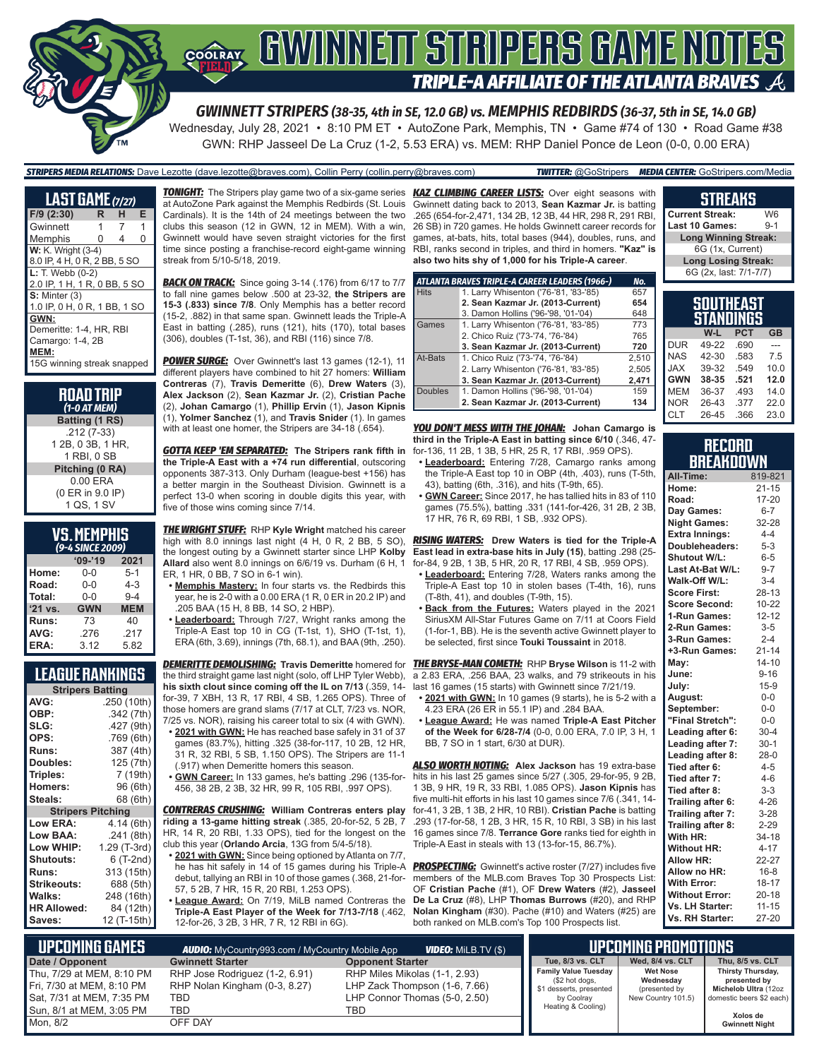## GWINNEIT STRIPERS GAME NOTES COOLRAY **TRIPLE-A AFFILIATE OF THE ATLANTA BRAVES**

*GWINNETT STRIPERS (38-35, 4th in SE, 12.0 GB) vs. MEMPHIS REDBIRDS (36-37, 5th in SE, 14.0 GB)* Wednesday, July 28, 2021 • 8:10 PM ET • AutoZone Park, Memphis, TN • Game #74 of 130 • Road Game #38 GWN: RHP Jasseel De La Cruz (1-2, 5.53 ERA) vs. MEM: RHP Daniel Ponce de Leon (0-0, 0.00 ERA)

#### *STRIPERS MEDIA RELATIONS:* Dave Lezotte (dave.lezotte@braves.com), Collin Perry (collin.perry@braves.com) *TWITTER:* @GoStripers *MEDIA CENTER:* GoStripers.com/Media

| <b>LAST GAME</b> (7/27)      |   |   |   |
|------------------------------|---|---|---|
| $F/9$ (2:30)                 | R | н | Е |
| Gwinnett                     | 1 | 7 | 1 |
| Memphis                      | 0 | 4 | 0 |
| <b>W:</b> K. Wright (3-4)    |   |   |   |
| 8.0 IP, 4 H, 0 R, 2 BB, 5 SO |   |   |   |
| $L: T.$ Webb $(0-2)$         |   |   |   |
| 2.0 IP, 1 H, 1 R, 0 BB, 5 SO |   |   |   |
| $S:$ Minter $(3)$            |   |   |   |
| 1.0 IP, 0 H, 0 R, 1 BB, 1 SO |   |   |   |
| GWN:                         |   |   |   |
| Demeritte: 1-4, HR, RBI      |   |   |   |
| Camargo: 1-4, 2B             |   |   |   |
| MEM:                         |   |   |   |
| 15G winning streak snapped   |   |   |   |

| ROAD TRIP<br>$(1-0 AT MEM)$ |
|-----------------------------|
| Batting (1 RS)              |
| .212 (7-33)                 |
| 1 2B, 0 3B, 1 HR,           |
| 1 RBI, 0 SB                 |
| Pitching (0 RA)             |
| $0.00$ ERA                  |
| (0 ER in 9.0 IP)            |
| 1 QS, 1 SV                  |

### **VS. MEMPHIS**

|         | (9-4 SINCE 2009) |            |
|---------|------------------|------------|
|         | $09 - 19$        | 2021       |
| Home:   | $0 - 0$          | $5 - 1$    |
| Road:   | $0 - 0$          | $4 - 3$    |
| Total:  | $0 - 0$          | $9 - 4$    |
| '21 vs. | <b>GWN</b>       | <b>MEM</b> |
| Runs:   | 73               | 40         |
| AVG:    | .276             | .217       |
| ERA:    | 3.12             | 5.82       |

### **LEAGUE RANKINGS**

| <b>Stripers Batting</b>  |              |
|--------------------------|--------------|
| AVG:                     | .250 (10th)  |
| OBP:                     | .342 (7th)   |
| SLG:                     | .427 (9th)   |
| OPS:                     | .769 (6th)   |
| <b>Runs:</b>             | 387 (4th)    |
| Doubles:                 | 125 (7th)    |
| Triples:                 | 7 (19th)     |
| <b>Homers:</b>           | 96 (6th)     |
| Steals:                  | 68 (6th)     |
| <b>Stripers Pitching</b> |              |
| <b>Low ERA:</b>          | 4.14 (6th)   |
| Low BAA:                 | .241(8th)    |
| Low WHIP:                | 1.29 (T-3rd) |
| Shutouts:                | 6 (T-2nd)    |
| Runs:                    | 313 (15th)   |
| Strikeouts:              | 688 (5th)    |
| Walks:                   | 248 (16th)   |
| <b>HR Allowed:</b>       | 84 (12th)    |
| Saves:                   | 12 (T-15th)  |
|                          |              |

at AutoZone Park against the Memphis Redbirds (St. Louis Cardinals). It is the 14th of 24 meetings between the two clubs this season (12 in GWN, 12 in MEM). With a win, Gwinnett would have seven straight victories for the first time since posting a franchise-record eight-game winning streak from 5/10-5/18, 2019.

**BACK ON TRACK:** Since going 3-14 (.176) from 6/17 to 7/7 to fall nine games below .500 at 23-32, **the Stripers are 15-3 (.833) since 7/8**. Only Memphis has a better record (15-2, .882) in that same span. Gwinnett leads the Triple-A East in batting (.285), runs (121), hits (170), total bases (306), doubles (T-1st, 36), and RBI (116) since 7/8.

*POWER SURGE:* Over Gwinnett's last 13 games (12-1), 11 different players have combined to hit 27 homers: **William Contreras** (7), **Travis Demeritte** (6), **Drew Waters** (3), **Alex Jackson** (2), **Sean Kazmar Jr.** (2), **Cristian Pache** (2), **Johan Camargo** (1), **Phillip Ervin** (1), **Jason Kipnis** (1), **Yolmer Sanchez** (1), and **Travis Snider** (1). In games with at least one homer, the Stripers are 34-18 (.654).

*GOTTA KEEP 'EM SEPARATED:* **The Stripers rank fifth in the Triple-A East with a +74 run differential**, outscoring opponents 387-313. Only Durham (league-best +156) has a better margin in the Southeast Division. Gwinnett is a perfect 13-0 when scoring in double digits this year, with five of those wins coming since 7/14.

*THE WRIGHT STUFF:* RHP **Kyle Wright** matched his career high with 8.0 innings last night (4 H, 0 R, 2 BB, 5 SO), the longest outing by a Gwinnett starter since LHP **Kolby Allard** also went 8.0 innings on 6/6/19 vs. Durham (6 H, 1 ER, 1 HR, 0 BB, 7 SO in 6-1 win).

- **• Memphis Mastery:** In four starts vs. the Redbirds this year, he is 2-0 with a 0.00 ERA (1 R, 0 ER in 20.2 IP) and .205 BAA (15 H, 8 BB, 14 SO, 2 HBP).
- **• Leaderboard:** Through 7/27, Wright ranks among the Triple-A East top 10 in CG (T-1st, 1), SHO (T-1st, 1), ERA (6th, 3.69), innings (7th, 68.1), and BAA (9th, .250).

the third straight game last night (solo, off LHP Tyler Webb), **his sixth clout since coming off the IL on 7/13** (.359, 14 for-39, 7 XBH, 13 R, 17 RBI, 4 SB, 1.265 OPS). Three of those homers are grand slams (7/17 at CLT, 7/23 vs. NOR, 7/25 vs. NOR), raising his career total to six (4 with GWN).

- **• 2021 with GWN:** He has reached base safely in 31 of 37 games (83.7%), hitting .325 (38-for-117, 10 2B, 12 HR, 31 R, 32 RBI, 5 SB, 1.150 OPS). The Stripers are 11-1
- (.917) when Demeritte homers this season. **• GWN Career:** In 133 games, he's batting .296 (135-for-
- 456, 38 2B, 2 3B, 32 HR, 99 R, 105 RBI, .997 OPS).

*CONTRERAS CRUSHING:* **William Contreras enters play riding a 13-game hitting streak** (.385, 20-for-52, 5 2B, 7 HR, 14 R, 20 RBI, 1.33 OPS), tied for the longest on the club this year (**Orlando Arcia**, 13G from 5/4-5/18).

- **• 2021 with GWN:** Since being optioned by Atlanta on 7/7, he has hit safely in 14 of 15 games during his Triple-A debut, tallying an RBI in 10 of those games (.368, 21-for-57, 5 2B, 7 HR, 15 R, 20 RBI, 1.253 OPS).
- **• League Award:** On 7/19, MiLB named Contreras the **Triple-A East Player of the Week for 7/13-7/18** (.462, 12-for-26, 3 2B, 3 HR, 7 R, 12 RBI in 6G).

*TONIGHT:* The Stripers play game two of a six-game series *KAZ CLIMBING CAREER LISTS:* Over eight seasons with Gwinnett dating back to 2013, **Sean Kazmar Jr.** is batting .265 (654-for-2,471, 134 2B, 12 3B, 44 HR, 298 R, 291 RBI, 26 SB) in 720 games. He holds Gwinnett career records for games, at-bats, hits, total bases (944), doubles, runs, and RBI, ranks second in triples, and third in homers. **"Kaz" is also two hits shy of 1,000 for his Triple-A career**.

|                | ATLANTA BRAVES TRIPLE-A CAREER LEADERS (1966-) | No.   |
|----------------|------------------------------------------------|-------|
| <b>Hits</b>    | 1. Larry Whisenton ('76-'81, '83-'85)          | 657   |
|                | 2. Sean Kazmar Jr. (2013-Current)              | 654   |
|                | 3. Damon Hollins ('96-'98, '01-'04)            | 648   |
| Games          | 1. Larry Whisenton ('76-'81, '83-'85)          | 773   |
|                | 2. Chico Ruiz ('73-'74, '76-'84)               | 765   |
|                | 3. Sean Kazmar Jr. (2013-Current)              | 720   |
| At-Bats        | 1. Chico Ruiz ('73-'74, '76-'84)               | 2,510 |
|                | 2. Larry Whisenton ('76-'81, '83-'85)          | 2.505 |
|                | 3. Sean Kazmar Jr. (2013-Current)              | 2,471 |
| <b>Doubles</b> | 1. Damon Hollins ('96-'98, '01-'04)            | 159   |
|                | 2. Sean Kazmar Jr. (2013-Current)              | 134   |

*YOU DON'T MESS WITH THE JOHAN:* **Johan Camargo is third in the Triple-A East in batting since 6/10** (.346, 47 for-136, 11 2B, 1 3B, 5 HR, 25 R, 17 RBI, .959 OPS).

- **• Leaderboard:** Entering 7/28, Camargo ranks among the Triple-A East top 10 in OBP (4th, .403), runs (T-5th, 43), batting (6th, .316), and hits (T-9th, 65).
- **• GWN Career:** Since 2017, he has tallied hits in 83 of 110 games (75.5%), batting .331 (141-for-426, 31 2B, 2 3B, 17 HR, 76 R, 69 RBI, 1 SB, .932 OPS).

*RISING WATERS:* **Drew Waters is tied for the Triple-A East lead in extra-base hits in July (15)**, batting .298 (25 for-84, 9 2B, 1 3B, 5 HR, 20 R, 17 RBI, 4 SB, .959 OPS).

- **• Leaderboard:** Entering 7/28, Waters ranks among the Triple-A East top 10 in stolen bases (T-4th, 16), runs (T-8th, 41), and doubles (T-9th, 15).
- **• Back from the Futures:** Waters played in the 2021 SiriusXM All-Star Futures Game on 7/11 at Coors Field (1-for-1, BB). He is the seventh active Gwinnett player to be selected, first since **Touki Toussaint** in 2018.

*DEMERITTE DEMOLISHING:* **Travis Demeritte** homered for *THE BRYSE-MAN COMETH:* RHP **Bryse Wilson** is 11-2 with a 2.83 ERA, .256 BAA, 23 walks, and 79 strikeouts in his last 16 games (15 starts) with Gwinnett since 7/21/19.

- **• 2021 with GWN:** In 10 games (9 starts), he is 5-2 with a 4.23 ERA (26 ER in 55.1 IP) and .284 BAA.
- **• League Award:** He was named **Triple-A East Pitcher of the Week for 6/28-7/4** (0-0, 0.00 ERA, 7.0 IP, 3 H, 1 BB, 7 SO in 1 start, 6/30 at DUR).

*ALSO WORTH NOTING:* **Alex Jackson** has 19 extra-base hits in his last 25 games since 5/27 (.305, 29-for-95, 9 2B, 1 3B, 9 HR, 19 R, 33 RBI, 1.085 OPS). **Jason Kipnis** has five multi-hit efforts in his last 10 games since 7/6 (.341, 14 for-41, 3 2B, 1 3B, 2 HR, 10 RBI). **Cristian Pache** is batting .293 (17-for-58, 1 2B, 3 HR, 15 R, 10 RBI, 3 SB) in his last 16 games since 7/8. **Terrance Gore** ranks tied for eighth in Triple-A East in steals with 13 (13-for-15, 86.7%).

**PROSPECTING:** Gwinnett's active roster (7/27) includes five members of the MLB.com Braves Top 30 Prospects List: OF **Cristian Pache** (#1), OF **Drew Waters** (#2), **Jasseel De La Cruz** (#8), LHP **Thomas Burrows** (#20), and RHP **Nolan Kingham** (#30). Pache (#10) and Waters (#25) are both ranked on MLB.com's Top 100 Prospects list.

#### **STREAKS Current Streak:** W6<br>**Last 10 Games:** 9-1 **Last 10 Games: Long Winning Streak:** 6G (1x, Current)

**Long Losing Streak:** 6G (2x, last: 7/1-7/7)

|            | SOUTHEAST<br>STANDINGS |            |           |
|------------|------------------------|------------|-----------|
|            | W-L                    | <b>PCT</b> | <b>GB</b> |
| <b>DUR</b> | 49-22                  | .690       |           |
| <b>NAS</b> | 42-30                  | .583       | 7.5       |
| <b>JAX</b> | 39-32                  | .549       | 10.0      |
| <b>GWN</b> | 38-35                  | .521       | 12.0      |
| <b>MEM</b> | 36-37                  | .493       | 14.0      |
| <b>NOR</b> | 26-43                  | .377       | 22.0      |
| <b>CLT</b> | 26-45                  | .366       | 23.0      |

#### **RECORD BREAKDOWN**

| All-Time:             | 819-821   |
|-----------------------|-----------|
| Home:                 | $21 - 15$ |
| Road:                 | 17-20     |
| Day Games:            | $6 - 7$   |
| <b>Night Games:</b>   | 32-28     |
| <b>Extra Innings:</b> | $4 - 4$   |
| Doubleheaders:        | $5 - 3$   |
| <b>Shutout W/L:</b>   | $6 - 5$   |
| Last At-Bat W/L:      | $9 - 7$   |
| Walk-Off W/L:         | $3 - 4$   |
| <b>Score First:</b>   | 28-13     |
| <b>Score Second:</b>  | $10 - 22$ |
| 1-Run Games:          | $12 - 12$ |
| 2-Run Games:          | $3-5$     |
| 3-Run Games:          | $2 - 4$   |
| +3-Run Games:         | $21 - 14$ |
| May:                  | $14 - 10$ |
| June:                 | $9 - 16$  |
| July:                 | $15-9$    |
| August:               | $0-0$     |
| September:            | $0-0$     |
| "Final Stretch":      | $0-0$     |
| Leading after 6:      | $30 - 4$  |
| Leading after 7:      | $30-1$    |
| Leading after 8:      | $28-0$    |
| Tied after 6:         | $4 - 5$   |
| Tied after 7:         | $4 - 6$   |
| Tied after 8:         | $3 - 3$   |
| Trailing after 6:     | $4 - 26$  |
| Trailing after 7:     | $3 - 28$  |
| Trailing after 8:     | $2 - 29$  |
| With HR:              | 34-18     |
| <b>Without HR:</b>    | $4 - 17$  |
| <b>Allow HR:</b>      | 22-27     |
| Allow no HR:          | $16 - 8$  |
| <b>With Error:</b>    | $18 - 17$ |
| <b>Without Error:</b> | $20 - 18$ |
| Vs. LH Starter:       | $11 - 15$ |
| Vs. RH Starter:       | 27-20     |

| <b>UPCOMING GAMES</b>     | <b>AUDIO:</b> MyCountry993.com / MyCountry Mobile App<br><b>VIDEO:</b> Milb.TV (\$) |                               |                                               | I UPCOMING PROMOTIONS "      |                                   |  |
|---------------------------|-------------------------------------------------------------------------------------|-------------------------------|-----------------------------------------------|------------------------------|-----------------------------------|--|
| Date / Opponent           | <b>Gwinnett Starter</b>                                                             | <b>Opponent Starter</b>       | Tue, 8/3 vs. CLT                              | Wed, 8/4 vs. CLT             | Thu, 8/5 vs. CLT                  |  |
| Thu, 7/29 at MEM, 8:10 PM | RHP Jose Rodriguez (1-2, 6.91)                                                      | RHP Miles Mikolas (1-1, 2.93) | <b>Family Value Tuesday</b><br>(\$2 hot dogs, | <b>Wet Nose</b><br>Wednesday | Thirsty Thursday,<br>presented by |  |
| Fri, 7/30 at MEM, 8:10 PM | RHP Nolan Kingham (0-3, 8.27)                                                       | LHP Zack Thompson (1-6, 7.66) | \$1 desserts, presented                       | (presented by                | Michelob Ultra (12oz              |  |
| Sat, 7/31 at MEM, 7:35 PM | TBD                                                                                 | LHP Connor Thomas (5-0, 2.50) | by Coolray                                    | New Country 101.5)           | domestic beers \$2 each)          |  |
| Sun, 8/1 at MEM, 3:05 PM  | TBD                                                                                 | TBD                           | Heating & Cooling)                            |                              | Xolos de                          |  |
| Mon, 8/2                  | OFF DAY                                                                             |                               |                                               |                              | <b>Gwinnett Night</b>             |  |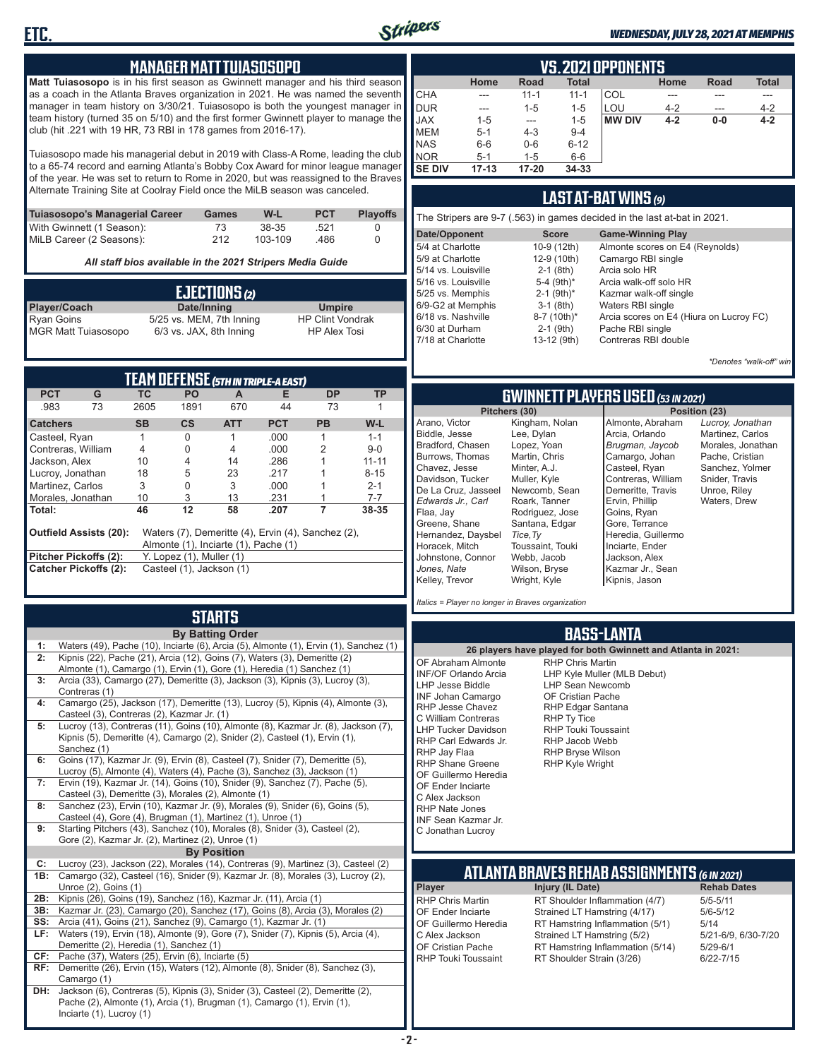

#### *WEDNESDAY, JULY 28, 2021 AT MEMPHIS*

#### **MANAGER MATT TUIASOSOPO**

**Matt Tuiasosopo** is in his first season as Gwinnett manager and his third season as a coach in the Atlanta Braves organization in 2021. He was named the seventh manager in team history on 3/30/21. Tuiasosopo is both the youngest manager in team history (turned 35 on 5/10) and the first former Gwinnett player to manage the club (hit .221 with 19 HR, 73 RBI in 178 games from 2016-17).

Tuiasosopo made his managerial debut in 2019 with Class-A Rome, leading the club to a 65-74 record and earning Atlanta's Bobby Cox Award for minor league manager of the year. He was set to return to Rome in 2020, but was reassigned to the Braves Alternate Training Site at Coolray Field once the MiLB season was canceled.

| Tuiasosopo's Managerial Career | Games | W-L     | <b>PCT</b> | <b>Plavoffs</b> |
|--------------------------------|-------|---------|------------|-----------------|
| With Gwinnett (1 Season):      | 73.   | 38-35   | .521       |                 |
| MiLB Career (2 Seasons):       | 212   | 103-109 | .486       |                 |

*All staff bios available in the 2021 Stripers Media Guide*

|                            | EJECTIONS (2)            |                         |
|----------------------------|--------------------------|-------------------------|
| <b>Player/Coach</b>        | Date/Inning              | <b>Umpire</b>           |
| Ryan Goins                 | 5/25 vs. MEM, 7th Inning | <b>HP Clint Vondrak</b> |
| <b>MGR Matt Tuiasosopo</b> | 6/3 vs. JAX, 8th Inning  | <b>HP Alex Tosi</b>     |

|                       |                               |           | <b>TEAM DEFENSE (5TH IN TRIPLE-A EAST)</b>                                                                             |            |            |           |           |
|-----------------------|-------------------------------|-----------|------------------------------------------------------------------------------------------------------------------------|------------|------------|-----------|-----------|
| <b>PCT</b>            | G                             | TC.       | <b>PO</b>                                                                                                              | A          | Е          | DP        | <b>TP</b> |
| .983                  | 73                            | 2605      | 1891                                                                                                                   | 670        | 44         | 73        |           |
| <b>Catchers</b>       |                               | <b>SB</b> | $\mathsf{cs}$                                                                                                          | <b>ATT</b> | <b>PCT</b> | <b>PB</b> | W-L       |
| Casteel, Ryan         |                               |           | 0                                                                                                                      |            | .000       |           | $1 - 1$   |
| Contreras, William    |                               | 4         | 0                                                                                                                      | 4          | .000       | 2         | $9 - 0$   |
| Jackson, Alex         |                               | 10        | 4                                                                                                                      | 14         | .286       |           | $11 - 11$ |
| Lucroy, Jonathan      |                               | 18        | 5                                                                                                                      | 23         | 217        |           | $8 - 15$  |
| Martinez, Carlos      |                               | 3         | 0                                                                                                                      | 3          | .000       |           | $2 - 1$   |
| Morales, Jonathan     |                               | 10        | 3                                                                                                                      | 13         | .231       |           | $7 - 7$   |
| Total:                |                               | 46        | 12                                                                                                                     | 58         | .207       |           | 38-35     |
| Pitcher Pickoffs (2): | <b>Outfield Assists (20):</b> |           | Waters (7), Demeritte (4), Ervin (4), Sanchez (2),<br>Almonte (1), Inciarte (1), Pache (1)<br>Y. Lopez (1), Muller (1) |            |            |           |           |
|                       | <b>Catcher Pickoffs (2):</b>  |           | Casteel (1), Jackson (1)                                                                                               |            |            |           |           |
|                       |                               |           |                                                                                                                        |            |            |           |           |

## **STARTS**

|     | <b>By Batting Order</b>                                                                       |
|-----|-----------------------------------------------------------------------------------------------|
| 1:  | Waters (49), Pache (10), Inciarte (6), Arcia (5), Almonte (1), Ervin (1), Sanchez (1)         |
| 2:  | Kipnis (22), Pache (21), Arcia (12), Goins (7), Waters (3), Demeritte (2)                     |
|     | Almonte (1), Camargo (1), Ervin (1), Gore (1), Heredia (1) Sanchez (1)                        |
| 3:  | Arcia (33), Camargo (27), Demeritte (3), Jackson (3), Kipnis (3), Lucroy (3),                 |
|     | Contreras (1)                                                                                 |
| 4:  | Camargo (25), Jackson (17), Demeritte (13), Lucroy (5), Kipnis (4), Almonte (3),              |
|     | Casteel (3), Contreras (2), Kazmar Jr. (1)                                                    |
| 5:  | Lucroy (13), Contreras (11), Goins (10), Almonte (8), Kazmar Jr. (8), Jackson (7),            |
|     | Kipnis (5), Demeritte (4), Camargo (2), Snider (2), Casteel (1), Ervin (1),                   |
| 6:  | Sanchez (1)<br>Goins (17), Kazmar Jr. (9), Ervin (8), Casteel (7), Snider (7), Demeritte (5), |
|     | Lucroy (5), Almonte (4), Waters (4), Pache (3), Sanchez (3), Jackson (1)                      |
| 7:  | Ervin (19), Kazmar Jr. (14), Goins (10), Snider (9), Sanchez (7), Pache (5),                  |
|     | Casteel (3), Demeritte (3), Morales (2), Almonte (1)                                          |
| 8:  | Sanchez (23), Ervin (10), Kazmar Jr. (9), Morales (9), Snider (6), Goins (5),                 |
|     | Casteel (4), Gore (4), Brugman (1), Martinez (1), Unroe (1)                                   |
| 9:  | Starting Pitchers (43), Sanchez (10), Morales (8), Snider (3), Casteel (2),                   |
|     | Gore (2), Kazmar Jr. (2), Martinez (2), Unroe (1)                                             |
|     | <b>By Position</b>                                                                            |
| C:  | Lucroy (23), Jackson (22), Morales (14), Contreras (9), Martinez (3), Casteel (2)             |
| 1B: | Camargo (32), Casteel (16), Snider (9), Kazmar Jr. (8), Morales (3), Lucroy (2),              |
|     | Unroe (2), Goins (1)                                                                          |
| 2B: | Kipnis (26), Goins (19), Sanchez (16), Kazmar Jr. (11), Arcia (1)                             |
| 3B: | Kazmar Jr. (23), Camargo (20), Sanchez (17), Goins (8), Arcia (3), Morales (2)                |
| SS: | Arcia (41), Goins (21), Sanchez (9), Camargo (1), Kazmar Jr. (1)                              |
| LF: | Waters (19), Ervin (18), Almonte (9), Gore (7), Snider (7), Kipnis (5), Arcia (4),            |
|     | Demeritte (2), Heredia (1), Sanchez (1)                                                       |
| CF: | Pache (37), Waters (25), Ervin (6), Inciarte (5)                                              |
| RF: | Demeritte (26), Ervin (15), Waters (12), Almonte (8), Snider (8), Sanchez (3),                |
|     | Camargo (1)                                                                                   |
| DH: | Jackson (6), Contreras (5), Kipnis (3), Snider (3), Casteel (2), Demeritte (2),               |
|     | Pache (2), Almonte (1), Arcia (1), Brugman (1), Camargo (1), Ervin (1),                       |
|     | Inciarte (1), Lucroy (1)                                                                      |

| VS.2021 OPPONENTS |                                                                     |           |          |               |         |       |         |  |  |  |  |  |  |  |
|-------------------|---------------------------------------------------------------------|-----------|----------|---------------|---------|-------|---------|--|--|--|--|--|--|--|
|                   | <b>Total</b><br><b>Total</b><br>Home<br><b>Road</b><br>Home<br>Road |           |          |               |         |       |         |  |  |  |  |  |  |  |
| CHA               | ---                                                                 | $11 - 1$  | $11 - 1$ | COL           |         |       |         |  |  |  |  |  |  |  |
| DUR               | ---                                                                 | $1 - 5$   | $1 - 5$  | LOU           | $4 - 2$ | ---   | $4 - 2$ |  |  |  |  |  |  |  |
| JAX<br>MEM        | $1 - 5$                                                             | ---       | $1 - 5$  | <b>MW DIV</b> | $4 - 2$ | $0-0$ | $4 - 2$ |  |  |  |  |  |  |  |
|                   | $5 - 1$                                                             | $4 - 3$   | $9 - 4$  |               |         |       |         |  |  |  |  |  |  |  |
| NAS               | $6-6$                                                               | $0-6$     | $6 - 12$ |               |         |       |         |  |  |  |  |  |  |  |
| NOR               | $5 - 1$                                                             | $1 - 5$   | $6-6$    |               |         |       |         |  |  |  |  |  |  |  |
| <b>SE DIV</b>     | $17 - 13$                                                           | $17 - 20$ | 34-33    |               |         |       |         |  |  |  |  |  |  |  |

### **LAST AT-BAT WINS** *(9)*

| The Stripers are 9-7 (.563) in games decided in the last at-bat in 2021. |                          |                                         |  |  |  |  |  |  |  |  |
|--------------------------------------------------------------------------|--------------------------|-----------------------------------------|--|--|--|--|--|--|--|--|
| Date/Opponent                                                            | <b>Score</b>             | <b>Game-Winning Play</b>                |  |  |  |  |  |  |  |  |
| 5/4 at Charlotte                                                         | 10-9 (12th)              | Almonte scores on E4 (Reynolds)         |  |  |  |  |  |  |  |  |
| 5/9 at Charlotte                                                         | 12-9 (10th)              | Camargo RBI single                      |  |  |  |  |  |  |  |  |
| 5/14 vs. Louisville                                                      | $2-1$ (8th)              | Arcia solo HR                           |  |  |  |  |  |  |  |  |
| 5/16 vs. Louisville                                                      | 5-4 $(9th)*$             | Arcia walk-off solo HR                  |  |  |  |  |  |  |  |  |
| 5/25 vs. Memphis                                                         | $2-1$ (9th) <sup>*</sup> | Kazmar walk-off single                  |  |  |  |  |  |  |  |  |
| 6/9-G2 at Memphis                                                        | $3-1$ (8th)              | Waters RBI single                       |  |  |  |  |  |  |  |  |
| 6/18 vs. Nashville                                                       | 8-7 (10th)*              | Arcia scores on E4 (Hiura on Lucroy FC) |  |  |  |  |  |  |  |  |
| 6/30 at Durham                                                           | $2-1$ (9th)              | Pache RBI single                        |  |  |  |  |  |  |  |  |
| 7/18 at Charlotte                                                        | 13-12 (9th)              | Contreras RBI double                    |  |  |  |  |  |  |  |  |

*\*Denotes "walk-off" win*

*Lucroy, Jonathan* Martinez, Carlos Morales, Jonathan Pache, Cristian Sanchez, Yolmer Snider, Travis Unroe, Riley Waters, Drew

**Pitchers (30) Position (23)**

### **GWINNETT PLAYERS USED** *(53 IN 2021)*

|                     | Pitchers (30)    | Pos                |
|---------------------|------------------|--------------------|
| Arano, Victor       | Kingham, Nolan   | Almonte, Abraham   |
| Biddle, Jesse       | Lee, Dylan       | Arcia, Orlando     |
| Bradford, Chasen    | Lopez, Yoan      | Brugman, Jaycob    |
| Burrows, Thomas     | Martin, Chris    | Camargo, Johan     |
| Chavez, Jesse       | Minter, A.J.     | Casteel, Ryan      |
| Davidson. Tucker    | Muller, Kyle     | Contreras, William |
| De La Cruz, Jasseel | Newcomb, Sean    | Demeritte, Travis  |
| Edwards Jr Carl     | Roark, Tanner    | Ervin, Phillip     |
| Flaa, Jay           | Rodriguez, Jose  | Goins, Ryan        |
| Greene, Shane       | Santana, Edgar   | Gore, Terrance     |
| Hernandez, Daysbel  | Tice, Ty         | Heredia, Guillermo |
| Horacek, Mitch      | Toussaint, Touki | Inciarte, Ender    |
| Johnstone, Connor   | Webb, Jacob      | Jackson, Alex      |
| Jones, Nate         | Wilson, Bryse    | Kazmar Jr., Sean   |
| Kelley, Trevor      | Wright, Kyle     | Kipnis, Jason      |

*Italics = Player no longer in Braves organization*

#### **BASS-LANTA**

**ATLANTA BRAVES REHAB ASSIGNMENTS** *(6 IN 2021)* **Player Injury (IL Date)** RHP Chris Martin RT Shoulder Inflammation (4/7) 5/5-5/11<br>CF Ender Inciarte Strained I T Hamstring (4/17) 5/6-5/12 OF Ender Inciarte Strained LT Hamstring (4/17) 5/6-5<br>OF Guillermo Heredia RT Hamstring Inflammation (5/1) 5/14 OF Guillermo Heredia RT Hamstring Inflammation (5/1) 5/14<br>C Alex Jackson Strained LT Hamstring (5/2) 5/21-6/9, 6/30-7/20 C Alex Jackson Strained LT Hamstring (5/2) 5/21-6/9,<br>OF Cristian Pache RT Hamstring Inflammation (5/14) 5/29-6/1 OF Cristian Pache RT Hamstring Inflammation (5/14)<br>RHP Touki Toussaint RT Shoulder Strain (3/26) RT Shoulder Strain (3/26) 6/22-7/15 **26 players have played for both Gwinnett and Atlanta in 2021:** OF Abraham Almonte INF/OF Orlando Arcia LHP Jesse Biddle INF Johan Camargo RHP Jesse Chavez C William Contreras LHP Tucker Davidson RHP Carl Edwards Jr. RHP Jay Flaa RHP Shane Greene OF Guillermo Heredia OF Ender Inciarte C Alex Jackson RHP Nate Jones INF Sean Kazmar Jr. C Jonathan Lucroy RHP Chris Martin LHP Kyle Muller (MLB Debut) LHP Sean Newcomb OF Cristian Pache RHP Edgar Santana RHP Ty Tice RHP Touki Toussaint RHP Jacob Webb RHP Bryse Wilson RHP Kyle Wright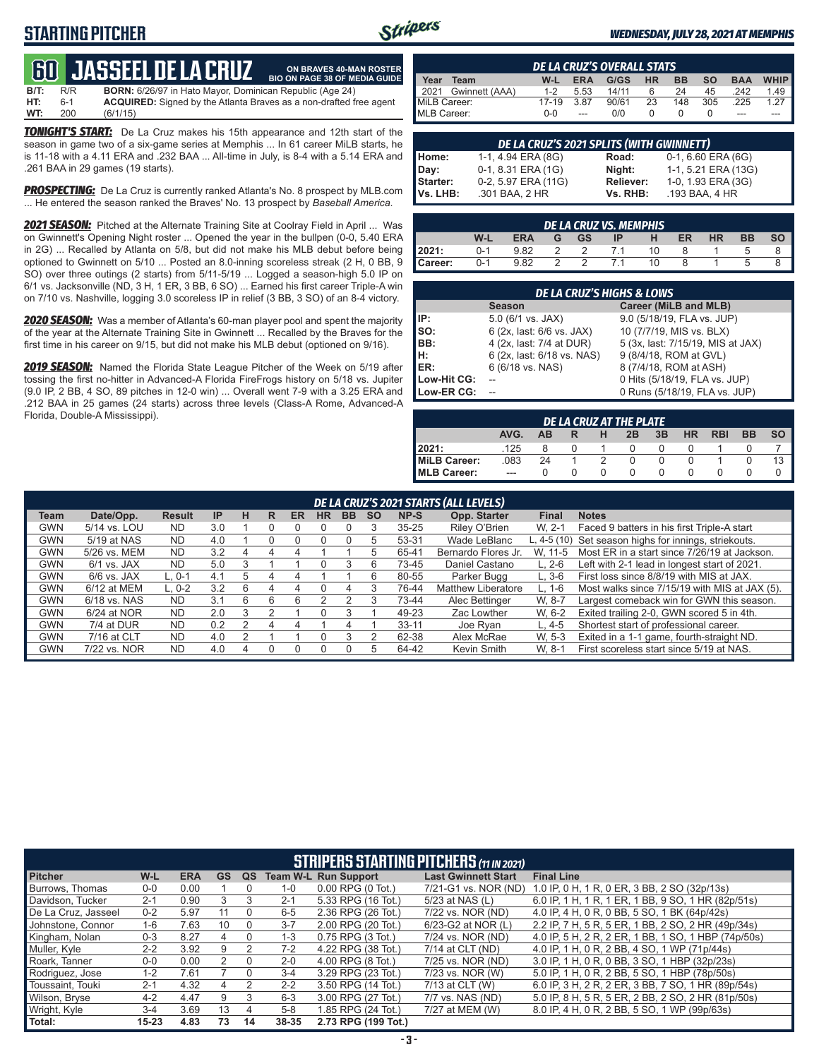### **STARTING PITCHER**



**ON BRAVES 40-MAN ROSTER**

#### *WEDNESDAY, JULY 28, 2021 AT MEMPHIS*

## **60****JASSEEL DE LA CRUZ**

**B/T:** R/R **BORN:** 6/26/97 in Hato Mayor, Dominican Republic (Age 24)<br>**HT:** 6-1 **ACQUIRED:** Signed by the Atlanta Braves as a non-drafted f **HT:** 6-1 **ACQUIRED:** Signed by the Atlanta Braves as a non-drafted free agent **WT:** 200 (6/1/15) **BIO ON PAGE 38 OF MEDIA GUIDE**

*TONIGHT'S START:* De La Cruz makes his 15th appearance and 12th start of the season in game two of a six-game series at Memphis ... In 61 career MiLB starts, he is 11-18 with a 4.11 ERA and .232 BAA ... All-time in July, is 8-4 with a 5.14 ERA and .261 BAA in 29 games (19 starts).

**PROSPECTING:** De La Cruz is currently ranked Atlanta's No. 8 prospect by MLB.com ... He entered the season ranked the Braves' No. 13 prospect by *Baseball America*.

*2021 SEASON:* Pitched at the Alternate Training Site at Coolray Field in April ... Was on Gwinnett's Opening Night roster ... Opened the year in the bullpen (0-0, 5.40 ERA in 2G) ... Recalled by Atlanta on 5/8, but did not make his MLB debut before being optioned to Gwinnett on 5/10 ... Posted an 8.0-inning scoreless streak (2 H, 0 BB, 9 SO) over three outings (2 starts) from 5/11-5/19 ... Logged a season-high 5.0 IP on 6/1 vs. Jacksonville (ND, 3 H, 1 ER, 3 BB, 6 SO) ... Earned his first career Triple-A win on 7/10 vs. Nashville, logging 3.0 scoreless IP in relief (3 BB, 3 SO) of an 8-4 victory.

*2020 SEASON:* Was a member of Atlanta's 60-man player pool and spent the majority of the year at the Alternate Training Site in Gwinnett ... Recalled by the Braves for the first time in his career on 9/15, but did not make his MLB debut (optioned on 9/16).

*2019 SEASON:* Named the Florida State League Pitcher of the Week on 5/19 after tossing the first no-hitter in Advanced-A Florida FireFrogs history on 5/18 vs. Jupiter (9.0 IP, 2 BB, 4 SO, 89 pitches in 12-0 win) ... Overall went 7-9 with a 3.25 ERA and .212 BAA in 25 games (24 starts) across three levels (Class-A Rome, Advanced-A Florida, Double-A Mississippi).

|              | <b>DE LA CRUZ'S OVERALL STATS</b> |         |            |       |           |           |           |            |                       |  |  |  |  |  |
|--------------|-----------------------------------|---------|------------|-------|-----------|-----------|-----------|------------|-----------------------|--|--|--|--|--|
| Year         | Team                              | $W-L$   | <b>ERA</b> | G/GS  | <b>HR</b> | <b>BB</b> | <b>SO</b> | <b>BAA</b> | <b>WHIP</b>           |  |  |  |  |  |
| 12021        | Gwinnett (AAA)                    | $1 - 2$ | 5.53       | 14/11 |           | 24        | 45        | .242       | $1.49$ $\blacksquare$ |  |  |  |  |  |
| MiLB Career: |                                   | 17-19   | 3.87       | 90/61 | 23        | 148       | 305       | .225       |                       |  |  |  |  |  |
| MLB Career:  |                                   | $0 - 0$ |            | 0/0   |           |           |           | ---        |                       |  |  |  |  |  |

|          | DE LA CRUZ'S 2021 SPLITS (WITH GWINNETT) |                  |                        |  |  |  |  |  |  |  |  |  |
|----------|------------------------------------------|------------------|------------------------|--|--|--|--|--|--|--|--|--|
| Home:    | 1-1, 4.94 ERA (8G)                       | Road:            | $0-1, 6.60$ ERA $(6G)$ |  |  |  |  |  |  |  |  |  |
| Day:     | 0-1, 8.31 ERA (1G)                       | Night:           | 1-1, 5.21 ERA (13G)    |  |  |  |  |  |  |  |  |  |
| Starter: | 0-2, 5.97 ERA (11G)                      | <b>Reliever:</b> | 1-0, 1.93 ERA (3G)     |  |  |  |  |  |  |  |  |  |
| Vs. LHB: | .301 BAA, 2 HR                           | Vs. RHB:         | .193 BAA, 4 HR         |  |  |  |  |  |  |  |  |  |

|                                                                                                   | DE LA CRUZ VS. MEMPHIS |      |  |     |     |    |   |  |  |  |  |  |  |  |
|---------------------------------------------------------------------------------------------------|------------------------|------|--|-----|-----|----|---|--|--|--|--|--|--|--|
| <b>SO</b><br><b>ER</b><br><b>BB</b><br>W-L<br><b>ERA</b><br>G GS<br><b>HR</b><br>- H<br><b>IP</b> |                        |      |  |     |     |    |   |  |  |  |  |  |  |  |
| 2021:                                                                                             | $0 - 1$                | 9.82 |  | 2 2 | 7.1 | 10 |   |  |  |  |  |  |  |  |
| Career:                                                                                           | $0 - 1$                | 9.82 |  |     | 7.1 | 10 | 8 |  |  |  |  |  |  |  |

| <b>DE LA CRUZ'S HIGHS &amp; LOWS</b> |                            |                                   |  |  |  |  |  |  |  |  |
|--------------------------------------|----------------------------|-----------------------------------|--|--|--|--|--|--|--|--|
|                                      | <b>Season</b>              | Career (MiLB and MLB)             |  |  |  |  |  |  |  |  |
| IP:                                  | $5.0$ (6/1 vs. JAX)        | 9.0 (5/18/19, FLA vs. JUP)        |  |  |  |  |  |  |  |  |
| so:                                  | 6 (2x, last: 6/6 vs. JAX)  | 10 (7/7/19, MIS vs. BLX)          |  |  |  |  |  |  |  |  |
| BB:                                  | 4 (2x, last: 7/4 at DUR)   | 5 (3x, last: 7/15/19, MIS at JAX) |  |  |  |  |  |  |  |  |
| H:                                   | 6 (2x, last: 6/18 vs. NAS) | 9 (8/4/18, ROM at GVL)            |  |  |  |  |  |  |  |  |
| <b>IER:</b>                          | 6 (6/18 vs. NAS)           | 8 (7/4/18, ROM at ASH)            |  |  |  |  |  |  |  |  |
| Low-Hit CG:                          |                            | 0 Hits (5/18/19, FLA vs. JUP)     |  |  |  |  |  |  |  |  |
| Low-ER CG:                           |                            | 0 Runs (5/18/19, FLA vs. JUP)     |  |  |  |  |  |  |  |  |

|                                                                | DE LA CRUZ AT THE PLATE |    |  |  |  |  |              |  |  |  |  |  |  |  |
|----------------------------------------------------------------|-------------------------|----|--|--|--|--|--------------|--|--|--|--|--|--|--|
| AVG.<br>3B<br><b>HR</b><br><b>BB</b><br><b>RBI</b><br>2B<br>AB |                         |    |  |  |  |  |              |  |  |  |  |  |  |  |
| 2021:                                                          | .125                    |    |  |  |  |  | $\mathbf{U}$ |  |  |  |  |  |  |  |
| <b>MiLB Career:</b>                                            | .083                    | 24 |  |  |  |  |              |  |  |  |  |  |  |  |
| MLB Career:                                                    | $- - -$                 |    |  |  |  |  |              |  |  |  |  |  |  |  |

|            | DE LA CRUZ'S 2021 STARTS (ALL LEVELS) |               |     |   |   |    |           |           |           |           |                           |              |                                                       |  |
|------------|---------------------------------------|---------------|-----|---|---|----|-----------|-----------|-----------|-----------|---------------------------|--------------|-------------------------------------------------------|--|
| Team       | Date/Opp.                             | <b>Result</b> | IP  | н | R | ER | <b>HR</b> | <b>BB</b> | <b>SO</b> | NP-S      | Opp. Starter              | <b>Final</b> | <b>Notes</b>                                          |  |
| <b>GWN</b> | 5/14 vs. LOU                          | <b>ND</b>     | 3.0 |   |   |    |           |           |           | $35 - 25$ | Riley O'Brien             | W. 2-1       | Faced 9 batters in his first Triple-A start           |  |
| <b>GWN</b> | 5/19 at NAS                           | <b>ND</b>     | 4.0 |   |   |    |           | 0         | 5         | 53-31     | Wade LeBlanc              |              | L, 4-5 (10) Set season highs for innings, striekouts. |  |
| <b>GWN</b> | 5/26 vs. MEM                          | <b>ND</b>     | 3.2 |   |   | 4  |           |           | 5         | 65-41     | Bernardo Flores Jr.       | W. 11-5      | Most ER in a start since 7/26/19 at Jackson.          |  |
| <b>GWN</b> | $6/1$ vs. JAX                         | <b>ND</b>     | 5.0 |   |   |    | 0         | 3         | 6         | 73-45     | Daniel Castano            | $L. 2-6$     | Left with 2-1 lead in longest start of 2021.          |  |
| <b>GWN</b> | $6/6$ vs. JAX                         | L. 0-1        | 4.1 | 5 | 4 | 4  |           |           | 6         | 80-55     | Parker Bugg               | $L.3-6$      | First loss since 8/8/19 with MIS at JAX.              |  |
| <b>GWN</b> | 6/12 at MEM                           | $L. 0-2$      | 3.2 | 6 |   | 4  |           | 4         |           | 76-44     | <b>Matthew Liberatore</b> | $L. 1-6$     | Most walks since 7/15/19 with MIS at JAX (5).         |  |
| <b>GWN</b> | 6/18 vs. NAS                          | <b>ND</b>     | 3.1 | 6 | 6 | 6  |           |           |           | 73-44     | Alec Bettinger            | W. 8-7       | Largest comeback win for GWN this season.             |  |
| <b>GWN</b> | 6/24 at NOR                           | <b>ND</b>     | 2.0 | 3 |   |    | O         |           |           | 49-23     | Zac Lowther               | W. 6-2       | Exited trailing 2-0, GWN scored 5 in 4th.             |  |
| <b>GWN</b> | 7/4 at DUR                            | <b>ND</b>     | 0.2 |   | 4 | 4  |           | 4         |           | $33 - 11$ | Joe Ryan                  | $L.4-5$      | Shortest start of professional career.                |  |
| <b>GWN</b> | 7/16 at CLT                           | <b>ND</b>     | 4.0 |   |   |    |           |           |           | 62-38     | Alex McRae                | W. 5-3       | Exited in a 1-1 game, fourth-straight ND.             |  |
| <b>GWN</b> | 7/22 vs. NOR                          | <b>ND</b>     | 4.0 |   |   |    |           |           | 5         | 64-42     | Kevin Smith               | W. 8-1       | First scoreless start since 5/19 at NAS.              |  |

|                     | <b>STRIPERS STARTING PITCHERS (11 IN 2021)</b> |            |           |                  |         |                             |                            |                                                     |  |  |  |  |  |
|---------------------|------------------------------------------------|------------|-----------|------------------|---------|-----------------------------|----------------------------|-----------------------------------------------------|--|--|--|--|--|
| <b>Pitcher</b>      | W-L                                            | <b>ERA</b> | <b>GS</b> | QS               |         | <b>Team W-L Run Support</b> | <b>Last Gwinnett Start</b> | <b>Final Line</b>                                   |  |  |  |  |  |
| Burrows, Thomas     | $0 - 0$                                        | 0.00       |           |                  | $1 - 0$ | $0.00$ RPG $(0$ Tot.)       | 7/21-G1 vs. NOR (ND)       | 1.0 IP, 0 H, 1 R, 0 ER, 3 BB, 2 SO (32p/13s)        |  |  |  |  |  |
| Davidson, Tucker    | $2 - 1$                                        | 0.90       |           |                  | $2 - 1$ | 5.33 RPG (16 Tot.)          | 5/23 at NAS (L)            | 6.0 IP, 1 H, 1 R, 1 ER, 1 BB, 9 SO, 1 HR (82p/51s)  |  |  |  |  |  |
| De La Cruz, Jasseel | $0 - 2$                                        | 5.97       | 11        |                  | $6-5$   | 2.36 RPG (26 Tot.)          | 7/22 vs. NOR (ND)          | 4.0 IP. 4 H. 0 R. 0 BB. 5 SO. 1 BK (64p/42s)        |  |  |  |  |  |
| Johnstone, Connor   | 1-6                                            | 7.63       | 10        |                  | $3 - 7$ | 2.00 RPG (20 Tot.)          | 6/23-G2 at NOR (L)         | 2.2 IP, 7 H, 5 R, 5 ER, 1 BB, 2 SO, 2 HR (49p/34s)  |  |  |  |  |  |
| Kingham, Nolan      | $0 - 3$                                        | 8.27       | 4         |                  | $1 - 3$ | $0.75$ RPG $(3$ Tot.)       | 7/24 vs. NOR (ND)          | 4.0 IP, 5 H, 2 R, 2 ER, 1 BB, 1 SO, 1 HBP (74p/50s) |  |  |  |  |  |
| Muller, Kyle        | $2 - 2$                                        | 3.92       | 9         |                  | $7-2$   | 4.22 RPG (38 Tot.)          | $7/14$ at CLT (ND)         | 4.0 IP. 1 H, 0 R, 2 BB, 4 SO, 1 WP (71p/44s)        |  |  |  |  |  |
| Roark, Tanner       | $0-0$                                          | 0.00       |           | $\Omega$         | $2 - 0$ | 4.00 RPG (8 Tot.)           | 7/25 vs. NOR (ND)          | 3.0 IP, 1 H, 0 R, 0 BB, 3 SO, 1 HBP (32p/23s)       |  |  |  |  |  |
| Rodriguez, Jose     | $1 - 2$                                        | 7.61       |           | $\left( \right)$ | $3 - 4$ | 3.29 RPG (23 Tot.)          | 7/23 vs. NOR (W)           | 5.0 IP, 1 H, 0 R, 2 BB, 5 SO, 1 HBP (78p/50s)       |  |  |  |  |  |
| Toussaint, Touki    | $2 - 1$                                        | 4.32       | 4         | 2                | $2 - 2$ | 3.50 RPG (14 Tot.)          | 7/13 at CLT (W)            | 6.0 IP, 3 H, 2 R, 2 ER, 3 BB, 7 SO, 1 HR (89p/54s)  |  |  |  |  |  |
| Wilson, Bryse       | $4 - 2$                                        | 4.47       | 9         | 3                | $6 - 3$ | 3.00 RPG (27 Tot.)          | 7/7 vs. NAS (ND)           | 5.0 IP, 8 H, 5 R, 5 ER, 2 BB, 2 SO, 2 HR (81p/50s)  |  |  |  |  |  |
| Wright, Kyle        | $3 - 4$                                        | 3.69       | 13        | 4                | $5 - 8$ | 1.85 RPG (24 Tot.)          | 7/27 at MEM (W)            | 8.0 IP, 4 H, 0 R, 2 BB, 5 SO, 1 WP (99p/63s)        |  |  |  |  |  |
| Total:              | $15 - 23$                                      | 4.83       | 73        | 14               | 38-35   | 2.73 RPG (199 Tot.)         |                            |                                                     |  |  |  |  |  |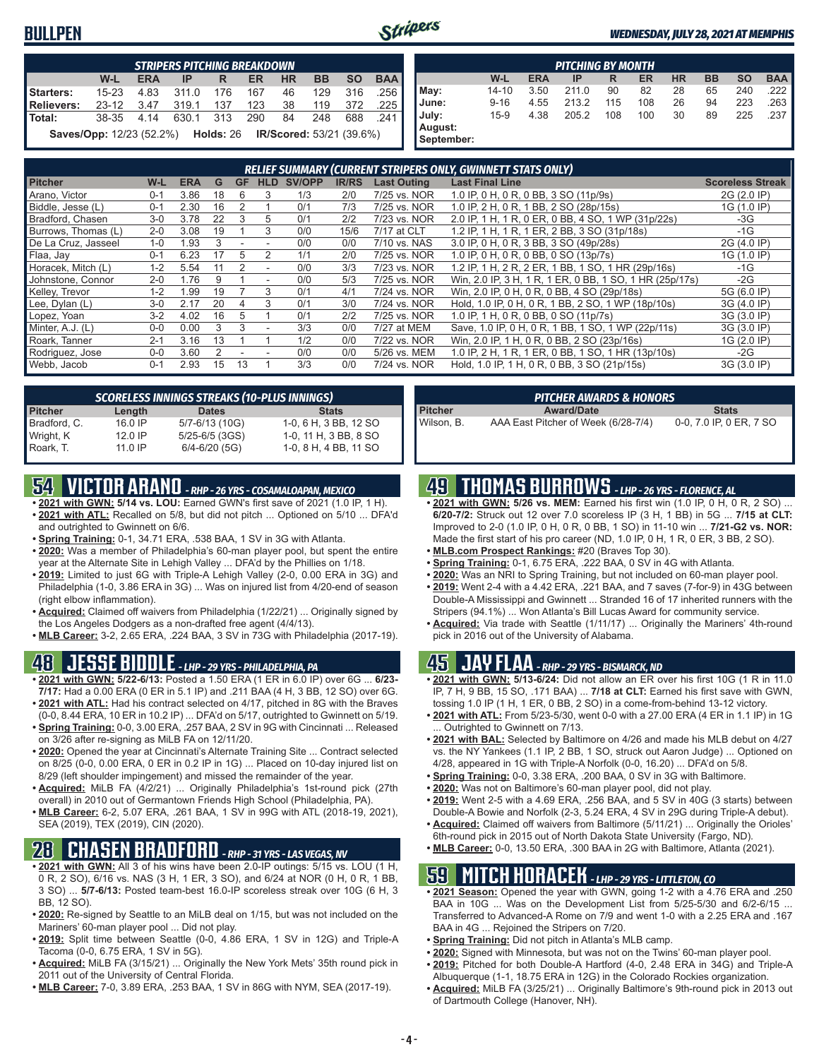### **BULLPEN**



#### *WEDNESDAY, JULY 28, 2021 AT MEMPHIS*

|                   | <b>STRIPERS PITCHING BREAKDOWN</b>                                               |            |                      |     |     |     |           |           |            |  |  |  |  |  |
|-------------------|----------------------------------------------------------------------------------|------------|----------------------|-----|-----|-----|-----------|-----------|------------|--|--|--|--|--|
|                   | W-L                                                                              | <b>ERA</b> | IP                   | R   | ER. | HR. | <b>BB</b> | <b>SO</b> | <b>BAA</b> |  |  |  |  |  |
| Starters:         | $15 - 23$                                                                        | 4.83       | 311.0                | 176 | 167 | 46  | 129       | -316      | .256       |  |  |  |  |  |
| <b>Relievers:</b> |                                                                                  |            | 23-12 3.47 319.1 137 |     | 123 | 38  |           | 119 372   | .225       |  |  |  |  |  |
| Total:            |                                                                                  |            | 38-35 4.14 630.1 313 |     | 290 | 84  | 248       | 688       | .241       |  |  |  |  |  |
|                   | <b>Saves/Opp:</b> 12/23 (52.2%) <b>Holds:</b> 26 <b>IR/Scored:</b> 53/21 (39.6%) |            |                      |     |     |     |           |           |            |  |  |  |  |  |

|            | <b>PITCHING BY MONTH</b>                                                                |      |       |     |     |    |    |     |      |  |  |  |  |  |  |
|------------|-----------------------------------------------------------------------------------------|------|-------|-----|-----|----|----|-----|------|--|--|--|--|--|--|
|            | <b>HR</b><br>W-L<br><b>BB</b><br><b>SO</b><br><b>ERA</b><br><b>BAA</b><br>ER<br>IP<br>R |      |       |     |     |    |    |     |      |  |  |  |  |  |  |
| May:       | $14 - 10$                                                                               | 3.50 | 211.0 | 90  | 82  | 28 | 65 | 240 | .222 |  |  |  |  |  |  |
| June:      | $9 - 16$                                                                                | 4.55 | 213.2 | 115 | 108 | 26 | 94 | 223 | .263 |  |  |  |  |  |  |
| July:      | $15-9$                                                                                  | 4.38 | 205.2 | 108 | 100 | 30 | 89 | 225 | .237 |  |  |  |  |  |  |
| August:    |                                                                                         |      |       |     |     |    |    |     |      |  |  |  |  |  |  |
| September: |                                                                                         |      |       |     |     |    |    |     |      |  |  |  |  |  |  |

| RELIEF SUMMARY (CURRENT STRIPERS ONLY, GWINNETT STATS ONLY) |         |            |    |           |            |        |              |                    |                                                         |                         |
|-------------------------------------------------------------|---------|------------|----|-----------|------------|--------|--------------|--------------------|---------------------------------------------------------|-------------------------|
| <b>Pitcher</b>                                              | W-L     | <b>ERA</b> | G  | <b>GF</b> | <b>HLD</b> | SV/OPP | <b>IR/RS</b> | <b>Last Outing</b> | <b>Last Final Line</b>                                  | <b>Scoreless Streak</b> |
| Arano, Victor                                               | $0 - 1$ | 3.86       | 18 | b         | 3          | 1/3    | 2/0          | 7/25 vs. NOR       | 1.0 IP, 0 H, 0 R, 0 BB, 3 SO (11p/9s)                   | 2G (2.0 IP)             |
| Biddle, Jesse (L)                                           | $0 - 1$ | 2.30       | 16 |           |            | 0/1    | 7/3          | 7/25 vs. NOR       | 1.0 IP, 2 H, 0 R, 1 BB, 2 SO (28p/15s)                  | 1G (1.0 IP)             |
| Bradford, Chasen                                            | $3-0$   | 3.78       | 22 | 3         | 5          | 0/1    | 2/2          | 7/23 vs. NOR       | 2.0 IP, 1 H, 1 R, 0 ER, 0 BB, 4 SO, 1 WP (31p/22s)      | $-3G$                   |
| Burrows, Thomas (L)                                         | $2 - 0$ | 3.08       | 19 |           |            | 0/0    | 15/6         | 7/17 at CLT        | 1.2 IP, 1 H, 1 R, 1 ER, 2 BB, 3 SO (31p/18s)            | $-1G$                   |
| De La Cruz, Jasseel                                         | $1 - 0$ | .93        |    |           |            | 0/0    | 0/0          | 7/10 vs. NAS       | 3.0 IP, 0 H, 0 R, 3 BB, 3 SO (49p/28s)                  | 2G (4.0 IP)             |
| Flaa, Jay                                                   | $0 - 1$ | 6.23       |    | 5         | 2          | 1/1    | 2/0          | 7/25 vs. NOR       | 1.0 IP, 0 H, 0 R, 0 BB, 0 SO (13p/7s)                   | 1G (1.0 IP)             |
| Horacek, Mitch (L)                                          | $1 - 2$ | 5.54       |    |           |            | 0/0    | 3/3          | 7/23 vs. NOR       | 1.2 IP, 1 H, 2 R, 2 ER, 1 BB, 1 SO, 1 HR (29p/16s)      | $-1G$                   |
| Johnstone, Connor                                           | $2 - 0$ | 1.76       |    |           |            | 0/0    | 5/3          | 7/25 vs. NOR       | Win, 2.0 IP, 3 H, 1 R, 1 ER, 0 BB, 1 SO, 1 HR (25p/17s) | $-2G$                   |
| Kelley, Trevor                                              | $1 - 2$ | .99        | 19 |           |            | 0/1    | 4/1          | 7/24 vs. NOR       | Win, 2.0 IP, 0 H, 0 R, 0 BB, 4 SO (29p/18s)             | 5G (6.0 IP)             |
| Lee, Dylan (L)                                              | $3-0$   | 2.17       | 20 |           | 3          | 0/1    | 3/0          | 7/24 vs. NOR       | Hold, 1.0 IP, 0 H, 0 R, 1 BB, 2 SO, 1 WP (18p/10s)      | 3G (4.0 IP)             |
| Lopez, Yoan                                                 | $3-2$   | 4.02       | 16 | 5         |            | 0/1    | 2/2          | 7/25 vs. NOR       | 1.0 IP, 1 H, 0 R, 0 BB, 0 SO (11p/7s)                   | 3G (3.0 IP)             |
| Minter, A.J. (L)                                            | $0 - 0$ | 0.00       | 3  | 3         |            | 3/3    | 0/0          | 7/27 at MEM        | Save, 1.0 IP, 0 H, 0 R, 1 BB, 1 SO, 1 WP (22p/11s)      | 3G (3.0 IP)             |
| Roark, Tanner                                               | $2 - 1$ | 3.16       | 13 |           |            | 1/2    | 0/0          | 7/22 vs. NOR       | Win, 2.0 IP, 1 H, 0 R, 0 BB, 2 SO (23p/16s)             | 1G (2.0 IP)             |
| Rodriguez, Jose                                             | $0 - 0$ | 3.60       |    |           |            | 0/0    | 0/0          | 5/26 vs. MEM       | 1.0 IP, 2 H, 1 R, 1 ER, 0 BB, 1 SO, 1 HR (13p/10s)      | $-2G$                   |
| Webb, Jacob                                                 | $0 - 1$ | 2.93       | 15 | 13        |            | 3/3    | 0/0          | 7/24 vs. NOR       | Hold, 1.0 IP, 1 H, 0 R, 0 BB, 3 SO (21p/15s)            | 3G (3.0 IP)             |

| <b>SCORELESS INNINGS STREAKS (10-PLUS INNINGS)</b> |           |                    |                       |  |  |  |  |
|----------------------------------------------------|-----------|--------------------|-----------------------|--|--|--|--|
| <b>Pitcher</b>                                     | Length    | <b>Dates</b>       | <b>Stats</b>          |  |  |  |  |
| Bradford, C.                                       | $16.0$ IP | 5/7-6/13 (10G)     | 1-0, 6 H, 3 BB, 12 SO |  |  |  |  |
| Wright, K                                          | $12.0$ IP | $5/25 - 6/5$ (3GS) | 1-0, 11 H, 3 BB, 8 SO |  |  |  |  |
| Roark, T.                                          | $11.0$ IP | $6/4 - 6/20$ (5G)  | 1-0, 8 H, 4 BB, 11 SO |  |  |  |  |

## **54 VICTOR ARANO** *- RHP - 26 YRS - COSAMALOAPAN, MEXICO*

- **• 2021 with GWN: 5/14 vs. LOU:** Earned GWN's first save of 2021 (1.0 IP, 1 H). **• 2021 with ATL:** Recalled on 5/8, but did not pitch ... Optioned on 5/10 ... DFA'd and outrighted to Gwinnett on 6/6.
- **• Spring Training:** 0-1, 34.71 ERA, .538 BAA, 1 SV in 3G with Atlanta.
- **• 2020:** Was a member of Philadelphia's 60-man player pool, but spent the entire year at the Alternate Site in Lehigh Valley ... DFA'd by the Phillies on 1/18.
- **• 2019:** Limited to just 6G with Triple-A Lehigh Valley (2-0, 0.00 ERA in 3G) and Philadelphia (1-0, 3.86 ERA in 3G) ... Was on injured list from 4/20-end of season (right elbow inflammation).
- **• Acquired:** Claimed off waivers from Philadelphia (1/22/21) ... Originally signed by the Los Angeles Dodgers as a non-drafted free agent (4/4/13).
- **• MLB Career:** 3-2, 2.65 ERA, .224 BAA, 3 SV in 73G with Philadelphia (2017-19).

### **48 JESSE BIDDLE** *- LHP - 29 YRS - PHILADELPHIA, PA*

- **• 2021 with GWN: 5/22-6/13:** Posted a 1.50 ERA (1 ER in 6.0 IP) over 6G ... **6/23- 7/17:** Had a 0.00 ERA (0 ER in 5.1 IP) and .211 BAA (4 H, 3 BB, 12 SO) over 6G. **• 2021 with ATL:** Had his contract selected on 4/17, pitched in 8G with the Braves
- (0-0, 8.44 ERA, 10 ER in 10.2 IP) ... DFA'd on 5/17, outrighted to Gwinnett on 5/19. **• Spring Training:** 0-0, 3.00 ERA, .257 BAA, 2 SV in 9G with Cincinnati ... Released
- on 3/26 after re-signing as MiLB FA on 12/11/20. **• 2020:** Opened the year at Cincinnati's Alternate Training Site ... Contract selected on 8/25 (0-0, 0.00 ERA, 0 ER in 0.2 IP in 1G) ... Placed on 10-day injured list on
- 8/29 (left shoulder impingement) and missed the remainder of the year. **• Acquired:** MiLB FA (4/2/21) ... Originally Philadelphia's 1st-round pick (27th overall) in 2010 out of Germantown Friends High School (Philadelphia, PA).
- **• MLB Career:** 6-2, 5.07 ERA, .261 BAA, 1 SV in 99G with ATL (2018-19, 2021), SEA (2019), TEX (2019), CIN (2020).

### **28 CHASEN BRADFORD** *- RHP - 31 YRS - LAS VEGAS, NV*

- **• 2021 with GWN:** All 3 of his wins have been 2.0-IP outings: 5/15 vs. LOU (1 H, 0 R, 2 SO), 6/16 vs. NAS (3 H, 1 ER, 3 SO), and 6/24 at NOR (0 H, 0 R, 1 BB, 3 SO) ... **5/7-6/13:** Posted team-best 16.0-IP scoreless streak over 10G (6 H, 3 BB, 12 SO).
- **• 2020:** Re-signed by Seattle to an MiLB deal on 1/15, but was not included on the Mariners' 60-man player pool ... Did not play.
- **• 2019:** Split time between Seattle (0-0, 4.86 ERA, 1 SV in 12G) and Triple-A Tacoma (0-0, 6.75 ERA, 1 SV in 5G).
- **• Acquired:** MiLB FA (3/15/21) ... Originally the New York Mets' 35th round pick in 2011 out of the University of Central Florida.
- **• MLB Career:** 7-0, 3.89 ERA, .253 BAA, 1 SV in 86G with NYM, SEA (2017-19).

|                | PITCHER AWARDS & HONORS             |                         |
|----------------|-------------------------------------|-------------------------|
| <b>Pitcher</b> | <b>Award/Date</b>                   | <b>Stats</b>            |
| Wilson, B.     | AAA East Pitcher of Week (6/28-7/4) | 0-0, 7.0 IP, 0 ER, 7 SO |

### **49 THOMAS BURROWS** *- LHP - 26 YRS - FLORENCE, AL*

- **• 2021 with GWN: 5/26 vs. MEM:** Earned his first win (1.0 IP, 0 H, 0 R, 2 SO) ... **6/20-7/2:** Struck out 12 over 7.0 scoreless IP (3 H, 1 BB) in 5G ... **7/15 at CLT:** Improved to 2-0 (1.0 IP, 0 H, 0 R, 0 BB, 1 SO) in 11-10 win ... **7/21-G2 vs. NOR:** Made the first start of his pro career (ND, 1.0 IP, 0 H, 1 R, 0 ER, 3 BB, 2 SO).
- **• MLB.com Prospect Rankings:** #20 (Braves Top 30).
- **• Spring Training:** 0-1, 6.75 ERA, .222 BAA, 0 SV in 4G with Atlanta.
- **• 2020:** Was an NRI to Spring Training, but not included on 60-man player pool.
- **• 2019:** Went 2-4 with a 4.42 ERA, .221 BAA, and 7 saves (7-for-9) in 43G between Double-A Mississippi and Gwinnett ... Stranded 16 of 17 inherited runners with the Stripers (94.1%) ... Won Atlanta's Bill Lucas Award for community service.
- **• Acquired:** Via trade with Seattle (1/11/17) ... Originally the Mariners' 4th-round pick in 2016 out of the University of Alabama.

### **45 JAY FLAA** *- RHP - 29 YRS - BISMARCK, ND*

- **• 2021 with GWN: 5/13-6/24:** Did not allow an ER over his first 10G (1 R in 11.0 IP, 7 H, 9 BB, 15 SO, .171 BAA) ... **7/18 at CLT:** Earned his first save with GWN, tossing 1.0 IP (1 H, 1 ER, 0 BB, 2 SO) in a come-from-behind 13-12 victory.
- **• 2021 with ATL:** From 5/23-5/30, went 0-0 with a 27.00 ERA (4 ER in 1.1 IP) in 1G Outrighted to Gwinnett on 7/13.
- **• 2021 with BAL:** Selected by Baltimore on 4/26 and made his MLB debut on 4/27 vs. the NY Yankees (1.1 IP, 2 BB, 1 SO, struck out Aaron Judge) ... Optioned on 4/28, appeared in 1G with Triple-A Norfolk (0-0, 16.20) ... DFA'd on 5/8.
- **• Spring Training:** 0-0, 3.38 ERA, .200 BAA, 0 SV in 3G with Baltimore.
- **• 2020:** Was not on Baltimore's 60-man player pool, did not play.
- **• 2019:** Went 2-5 with a 4.69 ERA, .256 BAA, and 5 SV in 40G (3 starts) between Double-A Bowie and Norfolk (2-3, 5.24 ERA, 4 SV in 29G during Triple-A debut).
- **• Acquired:** Claimed off waivers from Baltimore (5/11/21) ... Originally the Orioles' 6th-round pick in 2015 out of North Dakota State University (Fargo, ND).
- **• MLB Career:** 0-0, 13.50 ERA, .300 BAA in 2G with Baltimore, Atlanta (2021).

### **59 MITCH HORACEK** *- LHP - 29 YRS - LITTLETON, CO*

- **• 2021 Season:** Opened the year with GWN, going 1-2 with a 4.76 ERA and .250 BAA in 10G ... Was on the Development List from 5/25-5/30 and 6/2-6/15 ... Transferred to Advanced-A Rome on 7/9 and went 1-0 with a 2.25 ERA and .167 BAA in 4G ... Rejoined the Stripers on 7/20.
- **• Spring Training:** Did not pitch in Atlanta's MLB camp.
- **• 2020:** Signed with Minnesota, but was not on the Twins' 60-man player pool.
- **• 2019:** Pitched for both Double-A Hartford (4-0, 2.48 ERA in 34G) and Triple-A
- Albuquerque (1-1, 18.75 ERA in 12G) in the Colorado Rockies organization. **• Acquired:** MiLB FA (3/25/21) ... Originally Baltimore's 9th-round pick in 2013 out of Dartmouth College (Hanover, NH).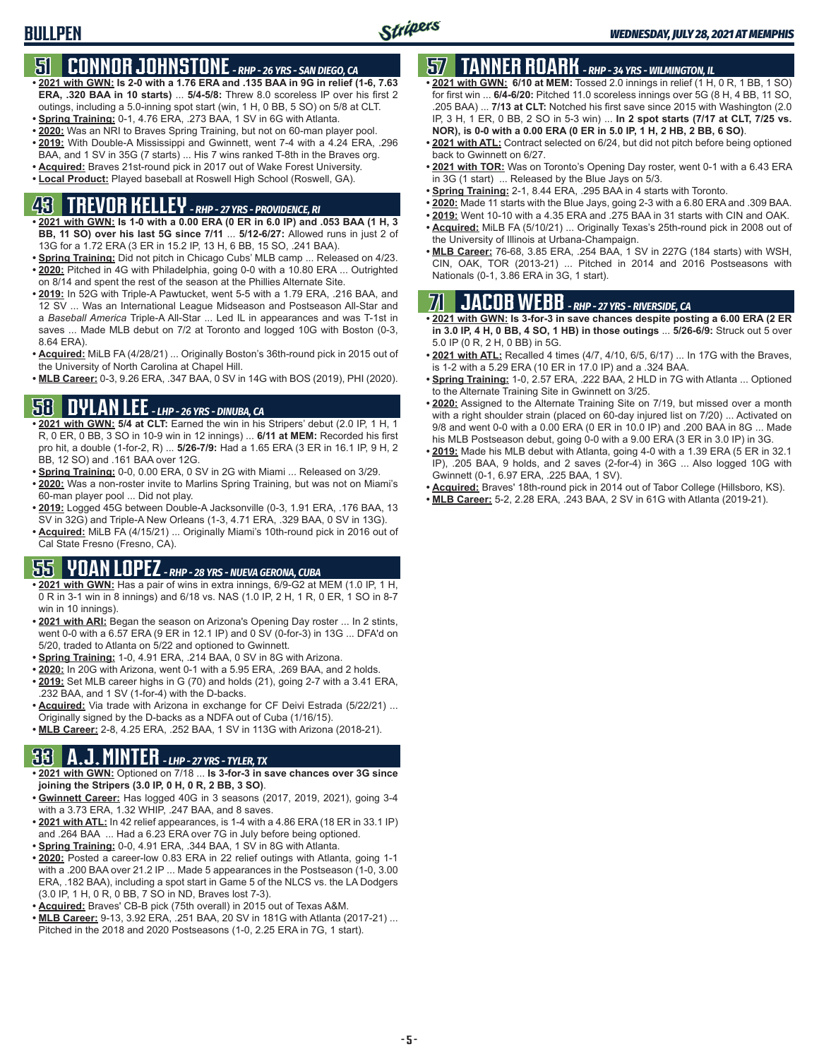## **51 CONNOR JOHNSTONE** *- RHP - 26 YRS - SAN DIEGO, CA*

- **• 2021 with GWN: Is 2-0 with a 1.76 ERA and .135 BAA in 9G in relief (1-6, 7.63 ERA, .320 BAA in 10 starts)** ... **5/4-5/8:** Threw 8.0 scoreless IP over his first 2 outings, including a 5.0-inning spot start (win, 1 H, 0 BB, 5 SO) on 5/8 at CLT.
- **• Spring Training:** 0-1, 4.76 ERA, .273 BAA, 1 SV in 6G with Atlanta.
- **• 2020:** Was an NRI to Braves Spring Training, but not on 60-man player pool. **• 2019:** With Double-A Mississippi and Gwinnett, went 7-4 with a 4.24 ERA, .296
- BAA, and 1 SV in 35G (7 starts) ... His 7 wins ranked T-8th in the Braves org.
- **• Acquired:** Braves 21st-round pick in 2017 out of Wake Forest University. **• Local Product:** Played baseball at Roswell High School (Roswell, GA).

## **43 TREVOR KELLEY** *- RHP - 27 YRS - PROVIDENCE, RI*

- **• 2021 with GWN: Is 1-0 with a 0.00 ERA (0 ER in 6.0 IP) and .053 BAA (1 H, 3 BB, 11 SO) over his last 5G since 7/11** ... **5/12-6/27:** Allowed runs in just 2 of 13G for a 1.72 ERA (3 ER in 15.2 IP, 13 H, 6 BB, 15 SO, .241 BAA).
- **• Spring Training:** Did not pitch in Chicago Cubs' MLB camp ... Released on 4/23. **• 2020:** Pitched in 4G with Philadelphia, going 0-0 with a 10.80 ERA ... Outrighted on 8/14 and spent the rest of the season at the Phillies Alternate Site.
- **• 2019:** In 52G with Triple-A Pawtucket, went 5-5 with a 1.79 ERA, .216 BAA, and 12 SV ... Was an International League Midseason and Postseason All-Star and a *Baseball America* Triple-A All-Star ... Led IL in appearances and was T-1st in saves ... Made MLB debut on 7/2 at Toronto and logged 10G with Boston (0-3, 8.64 ERA).
- **• Acquired:** MiLB FA (4/28/21) ... Originally Boston's 36th-round pick in 2015 out of the University of North Carolina at Chapel Hill.
- **• MLB Career:** 0-3, 9.26 ERA, .347 BAA, 0 SV in 14G with BOS (2019), PHI (2020).

## **58 DYLAN LEE** *- LHP - 26 YRS - DINUBA, CA*

- **• 2021 with GWN: 5/4 at CLT:** Earned the win in his Stripers' debut (2.0 IP, 1 H, 1 R, 0 ER, 0 BB, 3 SO in 10-9 win in 12 innings) ... **6/11 at MEM:** Recorded his first pro hit, a double (1-for-2, R) ... **5/26-7/9:** Had a 1.65 ERA (3 ER in 16.1 IP, 9 H, 2 BB, 12 SO) and .161 BAA over 12G.
- **• Spring Training:** 0-0, 0.00 ERA, 0 SV in 2G with Miami ... Released on 3/29.
- **• 2020:** Was a non-roster invite to Marlins Spring Training, but was not on Miami's 60-man player pool ... Did not play.
- **• 2019:** Logged 45G between Double-A Jacksonville (0-3, 1.91 ERA, .176 BAA, 13 SV in 32G) and Triple-A New Orleans (1-3, 4.71 ERA, .329 BAA, 0 SV in 13G).
- **• Acquired:** MiLB FA (4/15/21) ... Originally Miami's 10th-round pick in 2016 out of Cal State Fresno (Fresno, CA).

## **55 YOAN LOPEZ** *- RHP - 28 YRS - NUEVA GERONA, CUBA*

- **• 2021 with GWN:** Has a pair of wins in extra innings, 6/9-G2 at MEM (1.0 IP, 1 H, 0 R in 3-1 win in 8 innings) and 6/18 vs. NAS (1.0 IP, 2 H, 1 R, 0 ER, 1 SO in 8-7 win in 10 innings).
- **• 2021 with ARI:** Began the season on Arizona's Opening Day roster ... In 2 stints, went 0-0 with a 6.57 ERA (9 ER in 12.1 IP) and 0 SV (0-for-3) in 13G ... DFA'd on 5/20, traded to Atlanta on 5/22 and optioned to Gwinnett.
- **• Spring Training:** 1-0, 4.91 ERA, .214 BAA, 0 SV in 8G with Arizona.
- **• 2020:** In 20G with Arizona, went 0-1 with a 5.95 ERA, .269 BAA, and 2 holds.
- **• 2019:** Set MLB career highs in G (70) and holds (21), going 2-7 with a 3.41 ERA, .232 BAA, and 1 SV (1-for-4) with the D-backs.
- **• Acquired:** Via trade with Arizona in exchange for CF Deivi Estrada (5/22/21) ... Originally signed by the D-backs as a NDFA out of Cuba (1/16/15).
- **• MLB Career:** 2-8, 4.25 ERA, .252 BAA, 1 SV in 113G with Arizona (2018-21).

### **33 A.J. MINTER** *- LHP - 27 YRS - TYLER, TX*

- **• 2021 with GWN:** Optioned on 7/18 ... **Is 3-for-3 in save chances over 3G since joining the Stripers (3.0 IP, 0 H, 0 R, 2 BB, 3 SO)**.
- **• Gwinnett Career:** Has logged 40G in 3 seasons (2017, 2019, 2021), going 3-4 with a 3.73 ERA, 1.32 WHIP, .247 BAA, and 8 saves.
- **• 2021 with ATL:** In 42 relief appearances, is 1-4 with a 4.86 ERA (18 ER in 33.1 IP) and .264 BAA ... Had a 6.23 ERA over 7G in July before being optioned.
- **• Spring Training:** 0-0, 4.91 ERA, .344 BAA, 1 SV in 8G with Atlanta.
- **• 2020:** Posted a career-low 0.83 ERA in 22 relief outings with Atlanta, going 1-1 with a .200 BAA over 21.2 IP ... Made 5 appearances in the Postseason (1-0, 3.00 ERA, .182 BAA), including a spot start in Game 5 of the NLCS vs. the LA Dodgers (3.0 IP, 1 H, 0 R, 0 BB, 7 SO in ND, Braves lost 7-3).
- **• Acquired:** Braves' CB-B pick (75th overall) in 2015 out of Texas A&M.
- **• MLB Career:** 9-13, 3.92 ERA, .251 BAA, 20 SV in 181G with Atlanta (2017-21) ... Pitched in the 2018 and 2020 Postseasons (1-0, 2.25 ERA in 7G, 1 start).

## **57 TANNER ROARK** *- RHP - 34 YRS - WILMINGTON, IL*

- **• 2021 with GWN: 6/10 at MEM:** Tossed 2.0 innings in relief (1 H, 0 R, 1 BB, 1 SO) for first win ... **6/4-6/20:** Pitched 11.0 scoreless innings over 5G (8 H, 4 BB, 11 SO, .205 BAA) ... **7/13 at CLT:** Notched his first save since 2015 with Washington (2.0 IP, 3 H, 1 ER, 0 BB, 2 SO in 5-3 win) ... **In 2 spot starts (7/17 at CLT, 7/25 vs. NOR), is 0-0 with a 0.00 ERA (0 ER in 5.0 IP, 1 H, 2 HB, 2 BB, 6 SO)**.
- **• 2021 with ATL:** Contract selected on 6/24, but did not pitch before being optioned back to Gwinnett on 6/27.
- **• 2021 with TOR:** Was on Toronto's Opening Day roster, went 0-1 with a 6.43 ERA in 3G (1 start) ... Released by the Blue Jays on 5/3.
- **• Spring Training:** 2-1, 8.44 ERA, .295 BAA in 4 starts with Toronto.
- **• 2020:** Made 11 starts with the Blue Jays, going 2-3 with a 6.80 ERA and .309 BAA.
- **• 2019:** Went 10-10 with a 4.35 ERA and .275 BAA in 31 starts with CIN and OAK.
- **• Acquired:** MiLB FA (5/10/21) ... Originally Texas's 25th-round pick in 2008 out of the University of Illinois at Urbana-Champaign.
- **• MLB Career:** 76-68, 3.85 ERA, .254 BAA, 1 SV in 227G (184 starts) with WSH, CIN, OAK, TOR (2013-21) ... Pitched in 2014 and 2016 Postseasons with Nationals (0-1, 3.86 ERA in 3G, 1 start).

## **71 JACOB WEBB** *- RHP - 27 YRS - RIVERSIDE, CA*

- **• 2021 with GWN: Is 3-for-3 in save chances despite posting a 6.00 ERA (2 ER in 3.0 IP, 4 H, 0 BB, 4 SO, 1 HB) in those outings** ... **5/26-6/9:** Struck out 5 over 5.0 IP (0 R, 2 H, 0 BB) in 5G.
- **• 2021 with ATL:** Recalled 4 times (4/7, 4/10, 6/5, 6/17) ... In 17G with the Braves, is 1-2 with a 5.29 ERA (10 ER in 17.0 IP) and a .324 BAA.
- **• Spring Training:** 1-0, 2.57 ERA, .222 BAA, 2 HLD in 7G with Atlanta ... Optioned to the Alternate Training Site in Gwinnett on 3/25.
- **• 2020:** Assigned to the Alternate Training Site on 7/19, but missed over a month with a right shoulder strain (placed on 60-day injured list on 7/20) ... Activated on 9/8 and went 0-0 with a 0.00 ERA (0 ER in 10.0 IP) and .200 BAA in 8G ... Made his MLB Postseason debut, going 0-0 with a 9.00 ERA (3 ER in 3.0 IP) in 3G.
- **• 2019:** Made his MLB debut with Atlanta, going 4-0 with a 1.39 ERA (5 ER in 32.1 IP), .205 BAA, 9 holds, and 2 saves (2-for-4) in 36G ... Also logged 10G with Gwinnett (0-1, 6.97 ERA, .225 BAA, 1 SV).
- **• Acquired:** Braves' 18th-round pick in 2014 out of Tabor College (Hillsboro, KS).
- **• MLB Career:** 5-2, 2.28 ERA, .243 BAA, 2 SV in 61G with Atlanta (2019-21).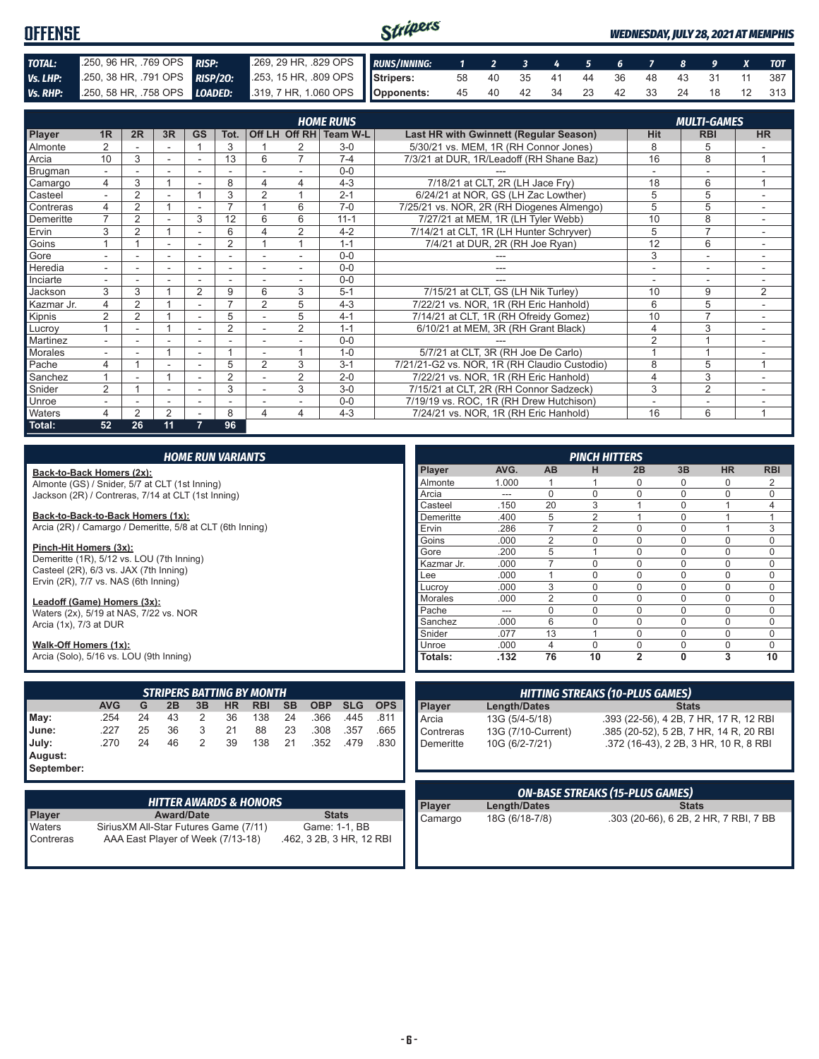#### Stripers **OFFENSE** *WEDNESDAY, JULY 28, 2021 AT MEMPHIS TOTAL:* .250, 96 HR, .769 OPS *RISP:* .269, 29 HR, .829 OPS *RUNS/INNING: 1 2 3 4 5 6 7 8 9 X TOT Vs. LHP:* .250, 38 HR, .791 OPS *RISP/2O:* .253, 15 HR, .809 OPS **Stripers:** 58 40 35 41 44 36 48 43 31 11 387 *Vs. RHP:* .250, 58 HR, .758 OPS *LOADED:* **Opponents:** 45 40 42 34 23 42 33 24 18 12 313

|                |                          |                |                          |           |                          |                          |                | <b>HOME RUNS</b> |                                              |                          | <b>MULTI-GAMES</b>       |           |
|----------------|--------------------------|----------------|--------------------------|-----------|--------------------------|--------------------------|----------------|------------------|----------------------------------------------|--------------------------|--------------------------|-----------|
| Player         | 1 <sub>R</sub>           | 2R             | 3R                       | <b>GS</b> | Tot.                     | Off LH                   | Off RH         | <b>Team W-L</b>  | Last HR with Gwinnett (Regular Season)       | Hit                      | <b>RBI</b>               | <b>HR</b> |
| <b>Almonte</b> |                          |                |                          |           | 3                        |                          |                | $3-0$            | 5/30/21 vs. MEM, 1R (RH Connor Jones)        | 8                        | 5                        |           |
| Arcia          | 10                       | 3              |                          | ٠         | 13                       | 6                        |                | $7 - 4$          | 7/3/21 at DUR, 1R/Leadoff (RH Shane Baz)     | 16                       | 8                        |           |
| Brugman        |                          |                |                          |           |                          |                          |                | $0 - 0$          |                                              |                          |                          |           |
| Camargo        | 4                        | 3              |                          |           | 8                        | 4                        | 4              | $4 - 3$          | 7/18/21 at CLT, 2R (LH Jace Fry)             | 18                       | 6                        | 1         |
| Casteel        |                          | 2              |                          |           | 3                        | $\overline{2}$           |                | $2 - 1$          | 6/24/21 at NOR, GS (LH Zac Lowther)          | 5                        | 5                        |           |
| Contreras      | 4                        | $\overline{2}$ |                          |           | ⇁                        |                          | 6              | $7-0$            | 7/25/21 vs. NOR, 2R (RH Diogenes Almengo)    | 5                        | 5                        |           |
| Demeritte      |                          | 2              |                          | 3         | 12                       | 6                        | 6              | $11 - 1$         | 7/27/21 at MEM, 1R (LH Tyler Webb)           | 10                       | 8                        |           |
| Ervin          | 3                        | $\overline{2}$ |                          |           | 6                        |                          | $\overline{2}$ | $4 - 2$          | 7/14/21 at CLT, 1R (LH Hunter Schryver)      | 5                        | $\overline{ }$           |           |
| Goins          |                          |                | ٠                        | ۰         | $\overline{2}$           |                          |                | $1 - 1$          | 7/4/21 at DUR, 2R (RH Joe Ryan)              | 12                       | 6                        |           |
| Gore           |                          |                |                          |           |                          |                          |                | $0 - 0$          |                                              | 3                        | ٠                        |           |
| Heredia        | $\overline{\phantom{0}}$ | ۰              | ۰                        | ۰         | $\overline{\phantom{a}}$ | $\overline{\phantom{a}}$ |                | $0 - 0$          | ---                                          | $\overline{\phantom{a}}$ | $\overline{\phantom{a}}$ | ٠         |
| Inciarte       |                          |                |                          |           |                          |                          |                | $0 - 0$          |                                              |                          |                          |           |
| Jackson        | 3                        | 3              |                          | 2         | 9                        | 6                        | 3              | $5 - 1$          | 7/15/21 at CLT, GS (LH Nik Turley)           | 10                       | 9                        | 2         |
| Kazmar Jr.     | 4                        | 2              |                          | ٠         | $\overline{ }$           | $\overline{2}$           | 5              | $4 - 3$          | 7/22/21 vs. NOR, 1R (RH Eric Hanhold)        | 6                        | 5                        |           |
| Kipnis         | $\overline{2}$           | 2              |                          | ٠         | 5                        |                          | 5              | $4 - 1$          | 7/14/21 at CLT, 1R (RH Ofreidy Gomez)        | 10                       | $\overline{7}$           |           |
| Lucroy         |                          |                |                          |           | $\overline{2}$           |                          | $\overline{2}$ | $1 - 1$          | 6/10/21 at MEM, 3R (RH Grant Black)          | $\overline{4}$           | 3                        |           |
| Martinez       |                          |                |                          |           |                          |                          |                | $0 - 0$          |                                              | $\overline{2}$           |                          |           |
| Morales        |                          |                |                          | ۰         |                          |                          |                | $1 - 0$          | 5/7/21 at CLT, 3R (RH Joe De Carlo)          |                          |                          |           |
| Pache          | 4                        |                |                          |           | 5                        | $\overline{2}$           | 3              | $3 - 1$          | 7/21/21-G2 vs. NOR, 1R (RH Claudio Custodio) | 8                        | 5                        |           |
| Sanchez        |                          |                |                          | ٠         | $\overline{2}$           |                          | $\overline{2}$ | $2 - 0$          | 7/22/21 vs. NOR, 1R (RH Eric Hanhold)        | $\overline{4}$           | 3                        |           |
| Snider         | $\overline{2}$           |                |                          |           | 3                        |                          | 3              | $3-0$            | 7/15/21 at CLT, 2R (RH Connor Sadzeck)       | 3                        | $\overline{2}$           |           |
| Unroe          |                          |                | $\overline{\phantom{a}}$ | ۰         | ۰                        |                          |                | $0 - 0$          | 7/19/19 vs. ROC, 1R (RH Drew Hutchison)      |                          | ۰                        |           |
| <b>Waters</b>  | 4                        | 2              | 2                        |           | 8                        | 4                        | 4              | $4 - 3$          | 7/24/21 vs. NOR, 1R (RH Eric Hanhold)        | 16                       | 6                        | 4         |
| Total:         | 52                       | 26             | 11                       | 7         | 96                       |                          |                |                  |                                              |                          |                          |           |

|                                                           |            |    |    |                | <b>HOME RUN VARIANTS</b> |                                   |           |            |            |            |            |                     |                | <b>PINCH HITTERS</b> |                                        |              |                                        |                |
|-----------------------------------------------------------|------------|----|----|----------------|--------------------------|-----------------------------------|-----------|------------|------------|------------|------------|---------------------|----------------|----------------------|----------------------------------------|--------------|----------------------------------------|----------------|
| Back-to-Back Homers (2x):                                 |            |    |    |                |                          |                                   |           |            |            |            | Player     | AVG.                | AB             | н                    | 2B                                     | 3B           | <b>HR</b>                              | <b>RBI</b>     |
| Almonte (GS) / Snider, 5/7 at CLT (1st Inning)            |            |    |    |                |                          |                                   |           |            |            |            | Almonte    | 1.000               |                |                      | $\Omega$                               |              | 0                                      | $\overline{2}$ |
| Jackson (2R) / Contreras, 7/14 at CLT (1st Inning)        |            |    |    |                |                          |                                   |           |            |            |            | Arcia      | ---                 | $\Omega$       | $\overline{0}$       | $\Omega$                               | $\Omega$     | $\mathbf 0$                            | 0              |
|                                                           |            |    |    |                |                          |                                   |           |            |            |            | Casteel    | .150                | 20             | 3                    |                                        | $\Omega$     |                                        | 4              |
| Back-to-Back-to-Back Homers (1x):                         |            |    |    |                |                          |                                   |           |            |            |            | Demeritte  | .400                | 5              | $\overline{2}$       |                                        | $\mathbf{0}$ | $\overline{1}$                         | 1              |
| Arcia (2R) / Camargo / Demeritte, 5/8 at CLT (6th Inning) |            |    |    |                |                          |                                   |           |            |            |            | Ervin      | .286                | 7              | $\overline{2}$       | $\Omega$                               | $\Omega$     |                                        | 3              |
|                                                           |            |    |    |                |                          |                                   |           |            |            |            | Goins      | .000                | $\overline{2}$ | $\Omega$             | $\Omega$                               | $\Omega$     | $\mathbf 0$                            | 0              |
| Pinch-Hit Homers (3x):                                    |            |    |    |                |                          |                                   |           |            |            |            | Gore       | .200                | 5              |                      | $\Omega$                               | $\Omega$     | $\mathbf 0$                            | 0              |
| Demeritte (1R), 5/12 vs. LOU (7th Inning)                 |            |    |    |                |                          |                                   |           |            |            |            | Kazmar Jr. | .000                | $\overline{7}$ | 0                    | $\Omega$                               | $\Omega$     | $\mathbf 0$                            | 0              |
| Casteel (2R), 6/3 vs. JAX (7th Inning)                    |            |    |    |                |                          |                                   |           |            |            |            | Lee        | .000                |                | $\Omega$             | $\Omega$                               | $\Omega$     | $\Omega$                               | 0              |
| Ervin (2R), 7/7 vs. NAS (6th Inning)                      |            |    |    |                |                          |                                   |           |            |            |            | Lucrov     | .000                | 3              | $\Omega$             | $\Omega$                               | $\Omega$     | $\Omega$                               | 0              |
| Leadoff (Game) Homers (3x):                               |            |    |    |                |                          |                                   |           |            |            |            | Morales    | .000                | $\overline{2}$ | $\Omega$             | $\Omega$                               | $\Omega$     | $\Omega$                               | 0              |
| Waters (2x), 5/19 at NAS, 7/22 vs. NOR                    |            |    |    |                |                          |                                   |           |            |            |            | Pache      | ---                 | $\mathbf 0$    | $\Omega$             | $\Omega$                               | $\Omega$     | $\mathbf 0$                            | 0              |
| Arcia (1x), 7/3 at DUR                                    |            |    |    |                |                          |                                   |           |            |            |            | Sanchez    | .000                | 6              | 0                    | $\Omega$                               | $\Omega$     | $\mathbf 0$                            | 0              |
|                                                           |            |    |    |                |                          |                                   |           |            |            |            | Snider     | .077                | 13             |                      | $\Omega$                               | $\Omega$     | $\Omega$                               | $\Omega$       |
| Walk-Off Homers (1x):                                     |            |    |    |                |                          |                                   |           |            |            |            | Unroe      | .000                | $\overline{4}$ | $\overline{0}$       | $\Omega$                               | 0            | 0                                      | 0              |
| Arcia (Solo), 5/16 vs. LOU (9th Inning)                   |            |    |    |                |                          |                                   |           |            |            |            | Totals:    | .132                | 76             | 10                   | $\overline{2}$                         | $\mathbf 0$  | 3                                      | 10             |
|                                                           |            |    |    |                |                          | <b>STRIPERS BATTING BY MONTH</b>  |           |            |            |            |            |                     |                |                      | <b>HITTING STREAKS (10-PLUS GAMES)</b> |              |                                        |                |
|                                                           | <b>AVG</b> | G  | 2B | 3B             | <b>HR</b>                | <b>RBI</b>                        | <b>SB</b> | <b>OBP</b> | <b>SLG</b> | <b>OPS</b> | Player     | <b>Length/Dates</b> |                |                      |                                        | <b>Stats</b> |                                        |                |
| May:                                                      | .254       | 24 | 43 | 2              | 36                       | 138                               | 24        | .366       | .445       | .811       | Arcia      | 13G (5/4-5/18)      |                |                      |                                        |              | .393 (22-56), 4 2B, 7 HR, 17 R, 12 RBI |                |
| June:                                                     | .227       | 25 | 36 | 3              | 21                       | 88                                | 23        | .308       | .357       | .665       |            |                     |                |                      |                                        |              |                                        |                |
|                                                           |            | 24 |    |                |                          |                                   |           |            |            |            | Contreras  | 13G (7/10-Current)  |                |                      |                                        |              | .385 (20-52), 5 2B, 7 HR, 14 R, 20 RBI |                |
| July:                                                     | .270       |    | 46 | $\overline{2}$ | 39                       | 138                               | 21        | .352       | .479       | .830       | Demeritte  | 10G (6/2-7/21)      |                |                      |                                        |              | .372 (16-43). 2 2B. 3 HR. 10 R. 8 RBI  |                |
| August:                                                   |            |    |    |                |                          |                                   |           |            |            |            |            |                     |                |                      |                                        |              |                                        |                |
| September:                                                |            |    |    |                |                          |                                   |           |            |            |            |            |                     |                |                      |                                        |              |                                        |                |
|                                                           |            |    |    |                |                          |                                   |           |            |            |            |            |                     |                |                      | <b>ON-BASE STREAKS (15-PLUS GAMES)</b> |              |                                        |                |
|                                                           |            |    |    |                |                          | <b>HITTER AWARDS &amp; HONORS</b> |           |            |            |            | Player     | <b>Length/Dates</b> |                |                      |                                        | <b>Stats</b> |                                        |                |

| <b>HITTER AWARDS &amp; HONORS</b> |                                                                             |                                           |  |  |  |  |
|-----------------------------------|-----------------------------------------------------------------------------|-------------------------------------------|--|--|--|--|
| <b>Player</b>                     | <b>Award/Date</b>                                                           | <b>Stats</b>                              |  |  |  |  |
| Waters<br>Contreras               | Sirius XM All-Star Futures Game (7/11)<br>AAA East Player of Week (7/13-18) | Game: 1-1, BB<br>.462, 3 2B, 3 HR, 12 RBI |  |  |  |  |

|         |                     | <b>ON-BASE STREAKS (15-PLUS GAMES)</b> |
|---------|---------------------|----------------------------------------|
| Player  | <b>Length/Dates</b> | <b>Stats</b>                           |
| Camargo | 18G (6/18-7/8)      | .303 (20-66), 6 2B, 2 HR, 7 RBI, 7 BB  |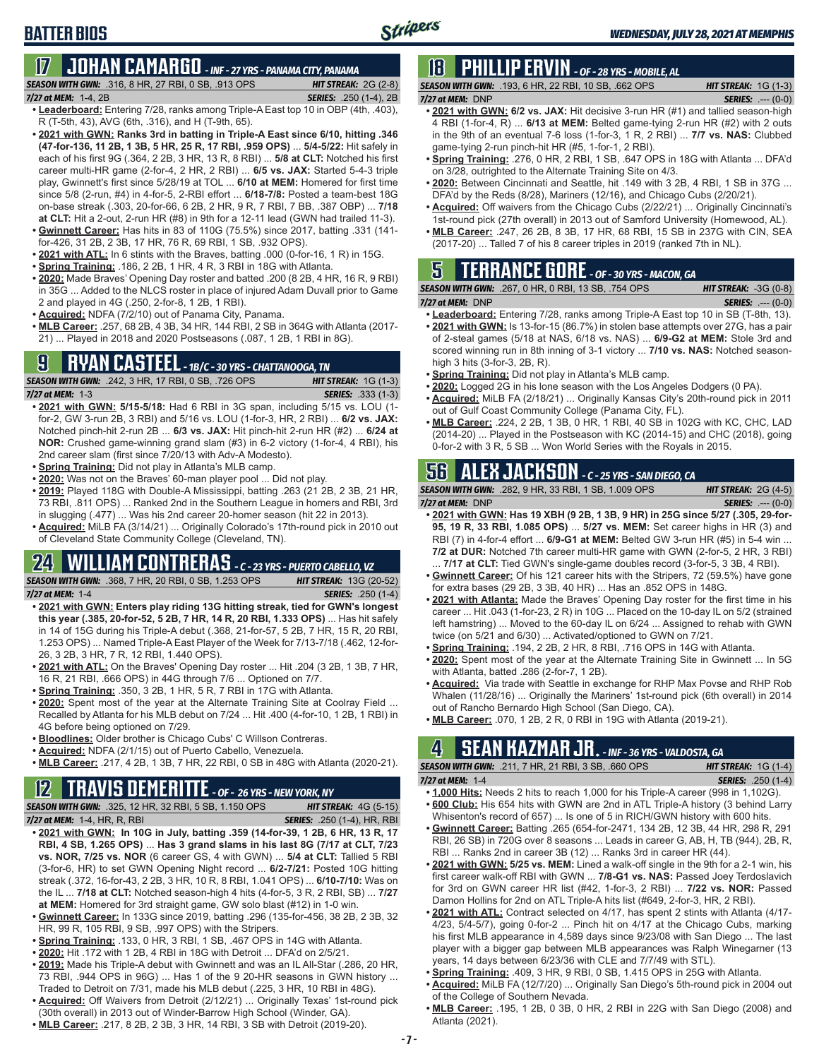# **17 JOHAN CAMARGO** *- INF - 27 YRS - PANAMA CITY, PANAMA*

*SEASON WITH GWN:*.316, 8 HR, 27 RBI, 0 SB, .913 OPS *HIT STREAK:* 2G (2-8)

*7/27 at MEM:* 1-4, 2B *SERIES:* .250 (1-4), 2B

**BATTER BIOS**

- **• Leaderboard:** Entering 7/28, ranks among Triple-A East top 10 in OBP (4th, .403), R (T-5th, 43), AVG (6th, .316), and H (T-9th, 65).
- **• 2021 with GWN: Ranks 3rd in batting in Triple-A East since 6/10, hitting .346 (47-for-136, 11 2B, 1 3B, 5 HR, 25 R, 17 RBI, .959 OPS)** ... **5/4-5/22:** Hit safely in each of his first 9G (.364, 2 2B, 3 HR, 13 R, 8 RBI) ... **5/8 at CLT:** Notched his first career multi-HR game (2-for-4, 2 HR, 2 RBI) ... **6/5 vs. JAX:** Started 5-4-3 triple play, Gwinnett's first since 5/28/19 at TOL ... **6/10 at MEM:** Homered for first time since 5/8 (2-run, #4) in 4-for-5, 2-RBI effort ... **6/18-7/8:** Posted a team-best 18G on-base streak (.303, 20-for-66, 6 2B, 2 HR, 9 R, 7 RBI, 7 BB, .387 OBP) ... **7/18 at CLT:** Hit a 2-out, 2-run HR (#8) in 9th for a 12-11 lead (GWN had trailed 11-3).
- **• Gwinnett Career:** Has hits in 83 of 110G (75.5%) since 2017, batting .331 (141 for-426, 31 2B, 2 3B, 17 HR, 76 R, 69 RBI, 1 SB, .932 OPS).
- **• 2021 with ATL:** In 6 stints with the Braves, batting .000 (0-for-16, 1 R) in 15G.
- **• Spring Training:** .186, 2 2B, 1 HR, 4 R, 3 RBI in 18G with Atlanta.
- **• 2020:** Made Braves' Opening Day roster and batted .200 (8 2B, 4 HR, 16 R, 9 RBI) in 35G ... Added to the NLCS roster in place of injured Adam Duvall prior to Game 2 and played in 4G (.250, 2-for-8, 1 2B, 1 RBI).
- **• Acquired:** NDFA (7/2/10) out of Panama City, Panama.
- **• MLB Career:** .257, 68 2B, 4 3B, 34 HR, 144 RBI, 2 SB in 364G with Atlanta (2017- 21) ... Played in 2018 and 2020 Postseasons (.087, 1 2B, 1 RBI in 8G).

### **9 RYAN CASTEEL** *- 1B/C - 30 YRS - CHATTANOOGA, TN*

*SEASON WITH GWN:*.242, 3 HR, 17 RBI, 0 SB, .726 OPS *HIT STREAK:* 1G (1-3) *7/27 at MEM:*1-3 *SERIES:* .333 (1-3)

- **• 2021 with GWN: 5/15-5/18:** Had 6 RBI in 3G span, including 5/15 vs. LOU (1 for-2, GW 3-run 2B, 3 RBI) and 5/16 vs. LOU (1-for-3, HR, 2 RBI) ... **6/2 vs. JAX:** Notched pinch-hit 2-run 2B ... **6/3 vs. JAX:** Hit pinch-hit 2-run HR (#2) ... **6/24 at NOR:** Crushed game-winning grand slam (#3) in 6-2 victory (1-for-4, 4 RBI), his 2nd career slam (first since 7/20/13 with Adv-A Modesto).
- **• Spring Training:** Did not play in Atlanta's MLB camp.
- **• 2020:** Was not on the Braves' 60-man player pool ... Did not play.
- **• 2019:** Played 118G with Double-A Mississippi, batting .263 (21 2B, 2 3B, 21 HR, 73 RBI, .811 OPS) ... Ranked 2nd in the Southern League in homers and RBI, 3rd in slugging (.477) ... Was his 2nd career 20-homer season (hit 22 in 2013).
- **• Acquired:** MiLB FA (3/14/21) ... Originally Colorado's 17th-round pick in 2010 out of Cleveland State Community College (Cleveland, TN).

## **24 WILLIAM CONTRERAS** *- C - 23 YRS - PUERTO CABELLO, VZ*

*SEASON WITH GWN:*.368, 7 HR, 20 RBI, 0 SB, 1.253 OPS *HIT STREAK:* 13G (20-52) *7/27 at MEM:* 1-4 *SERIES:* .250 (1-4)

- **• 2021 with GWN: Enters play riding 13G hitting streak, tied for GWN's longest this year (.385, 20-for-52, 5 2B, 7 HR, 14 R, 20 RBI, 1.333 OPS)** ... Has hit safely in 14 of 15G during his Triple-A debut (.368, 21-for-57, 5 2B, 7 HR, 15 R, 20 RBI, 1.253 OPS) ... Named Triple-A East Player of the Week for 7/13-7/18 (.462, 12-for-26, 3 2B, 3 HR, 7 R, 12 RBI, 1.440 OPS).
- **• 2021 with ATL:** On the Braves' Opening Day roster ... Hit .204 (3 2B, 1 3B, 7 HR, 16 R, 21 RBI, .666 OPS) in 44G through 7/6 ... Optioned on 7/7.
- **• Spring Training:** .350, 3 2B, 1 HR, 5 R, 7 RBI in 17G with Atlanta.
- **• 2020:** Spent most of the year at the Alternate Training Site at Coolray Field ... Recalled by Atlanta for his MLB debut on 7/24 ... Hit .400 (4-for-10, 1 2B, 1 RBI) in 4G before being optioned on 7/29.
- **• Bloodlines:** Older brother is Chicago Cubs' C Willson Contreras.
- **• Acquired:** NDFA (2/1/15) out of Puerto Cabello, Venezuela.
- **• MLB Career:** .217, 4 2B, 1 3B, 7 HR, 22 RBI, 0 SB in 48G with Atlanta (2020-21).

### **12 TRAVIS DEMERITTE** *- OF - 26 YRS - NEW YORK, NY*

*SEASON WITH GWN:*.325, 12 HR, 32 RBI, 5 SB, 1.150 OPS *HIT STREAK:* 4G (5-15) *7/27 at MEM:*1-4, HR, R, RBI *SERIES:* .250 (1-4), HR, RBI

- **• 2021 with GWN: In 10G in July, batting .359 (14-for-39, 1 2B, 6 HR, 13 R, 17 RBI, 4 SB, 1.265 OPS)** ... **Has 3 grand slams in his last 8G (7/17 at CLT, 7/23 vs. NOR, 7/25 vs. NOR** (6 career GS, 4 with GWN) ... **5/4 at CLT:** Tallied 5 RBI (3-for-6, HR) to set GWN Opening Night record ... **6/2-7/21:** Posted 10G hitting streak (.372, 16-for-43, 2 2B, 3 HR, 10 R, 8 RBI, 1.041 OPS) ... **6/10-7/10:** Was on the IL ... **7/18 at CLT:** Notched season-high 4 hits (4-for-5, 3 R, 2 RBI, SB) ... **7/27 at MEM:** Homered for 3rd straight game, GW solo blast (#12) in 1-0 win.
- **• Gwinnett Career:** In 133G since 2019, batting .296 (135-for-456, 38 2B, 2 3B, 32 HR, 99 R, 105 RBI, 9 SB, .997 OPS) with the Stripers.
- **• Spring Training:** .133, 0 HR, 3 RBI, 1 SB, .467 OPS in 14G with Atlanta.
- **• 2020:** Hit .172 with 1 2B, 4 RBI in 18G with Detroit ... DFA'd on 2/5/21.
- **• 2019:** Made his Triple-A debut with Gwinnett and was an IL All-Star (.286, 20 HR, 73 RBI, .944 OPS in 96G) ... Has 1 of the 9 20-HR seasons in GWN history ... Traded to Detroit on 7/31, made his MLB debut (.225, 3 HR, 10 RBI in 48G).
- **• Acquired:** Off Waivers from Detroit (2/12/21) ... Originally Texas' 1st-round pick (30th overall) in 2013 out of Winder-Barrow High School (Winder, GA).
- **• MLB Career:** .217, 8 2B, 2 3B, 3 HR, 14 RBI, 3 SB with Detroit (2019-20).

## **18 PHILLIP ERVIN** *- OF - 28 YRS - MOBILE, AL*

*SEASON WITH GWN:*.193, 6 HR, 22 RBI, 10 SB, .662 OPS *HIT STREAK:* 1G (1-3) *7/27 at MEM:*DNP *SERIES:* .--- (0-0)

- **• 2021 with GWN: 6/2 vs. JAX:** Hit decisive 3-run HR (#1) and tallied season-high 4 RBI (1-for-4, R) ... **6/13 at MEM:** Belted game-tying 2-run HR (#2) with 2 outs in the 9th of an eventual 7-6 loss (1-for-3, 1 R, 2 RBI) ... **7/7 vs. NAS:** Clubbed game-tying 2-run pinch-hit HR (#5, 1-for-1, 2 RBI).
- **• Spring Training:** .276, 0 HR, 2 RBI, 1 SB, .647 OPS in 18G with Atlanta ... DFA'd on 3/28, outrighted to the Alternate Training Site on 4/3.
- **• 2020:** Between Cincinnati and Seattle, hit .149 with 3 2B, 4 RBI, 1 SB in 37G ... DFA'd by the Reds (8/28), Mariners (12/16), and Chicago Cubs (2/20/21).
- **• Acquired:** Off waivers from the Chicago Cubs (2/22/21) ... Originally Cincinnati's 1st-round pick (27th overall) in 2013 out of Samford University (Homewood, AL).
- **• MLB Career:** .247, 26 2B, 8 3B, 17 HR, 68 RBI, 15 SB in 237G with CIN, SEA (2017-20) ... Talled 7 of his 8 career triples in 2019 (ranked 7th in NL).

## **5 TERRANCE GORE** *- OF - 30 YRS - MACON, GA*

|                      | <b>SEASON WITH GWN: .267, 0 HR, 0 RBI, 13 SB, .754 OPS</b> | <b>HIT STREAK: <math>-3G(0-8)</math></b> |
|----------------------|------------------------------------------------------------|------------------------------------------|
| $7/27$ at MEM: $DNP$ |                                                            | <b>SERIES:</b> $--- (0-0)$               |

- **• Leaderboard:** Entering 7/28, ranks among Triple-A East top 10 in SB (T-8th, 13). **• 2021 with GWN:** Is 13-for-15 (86.7%) in stolen base attempts over 27G, has a pair of 2-steal games (5/18 at NAS, 6/18 vs. NAS) ... **6/9-G2 at MEM:** Stole 3rd and scored winning run in 8th inning of 3-1 victory ... **7/10 vs. NAS:** Notched seasonhigh 3 hits (3-for-3, 2B, R).
- **• Spring Training:** Did not play in Atlanta's MLB camp.
- **• 2020:** Logged 2G in his lone season with the Los Angeles Dodgers (0 PA).
- **• Acquired:** MiLB FA (2/18/21) ... Originally Kansas City's 20th-round pick in 2011 out of Gulf Coast Community College (Panama City, FL).
- **• MLB Career:** .224, 2 2B, 1 3B, 0 HR, 1 RBI, 40 SB in 102G with KC, CHC, LAD (2014-20) ... Played in the Postseason with KC (2014-15) and CHC (2018), going 0-for-2 with 3 R, 5 SB ... Won World Series with the Royals in 2015.

## **56 ALEX JACKSON** *- C - 25 YRS - SAN DIEGO, CA*

*SEASON WITH GWN:*.282, 9 HR, 33 RBI, 1 SB, 1.009 OPS *HIT STREAK:* 2G (4-5) *7/27 at MEM:*DNP *SERIES:* .--- (0-0)

- **• 2021 with GWN: Has 19 XBH (9 2B, 1 3B, 9 HR) in 25G since 5/27 (.305, 29-for-95, 19 R, 33 RBI, 1.085 OPS)** ... **5/27 vs. MEM:** Set career highs in HR (3) and RBI (7) in 4-for-4 effort ... **6/9-G1 at MEM:** Belted GW 3-run HR (#5) in 5-4 win ... **7/2 at DUR:** Notched 7th career multi-HR game with GWN (2-for-5, 2 HR, 3 RBI) . **7/17 at CLT:** Tied GWN's single-game doubles record (3-for-5, 3 3B, 4 RBI).
- **• Gwinnett Career:** Of his 121 career hits with the Stripers, 72 (59.5%) have gone for extra bases (29 2B, 3 3B, 40 HR) ... Has an .852 OPS in 148G.
- **• 2021 with Atlanta:** Made the Braves' Opening Day roster for the first time in his career ... Hit .043 (1-for-23, 2 R) in 10G ... Placed on the 10-day IL on 5/2 (strained left hamstring) ... Moved to the 60-day IL on 6/24 ... Assigned to rehab with GWN twice (on 5/21 and 6/30) ... Activated/optioned to GWN on 7/21.
- **• Spring Training:** .194, 2 2B, 2 HR, 8 RBI, .716 OPS in 14G with Atlanta.
- **• 2020:** Spent most of the year at the Alternate Training Site in Gwinnett ... In 5G with Atlanta, batted .286 (2-for-7, 1 2B).
- **• Acquired:** Via trade with Seattle in exchange for RHP Max Povse and RHP Rob Whalen (11/28/16) ... Originally the Mariners' 1st-round pick (6th overall) in 2014 out of Rancho Bernardo High School (San Diego, CA).
- **• MLB Career:** .070, 1 2B, 2 R, 0 RBI in 19G with Atlanta (2019-21).

## **4 SEAN KAZMAR JR.** *- INF - 36 YRS - VALDOSTA, GA*

*SEASON WITH GWN:*.211, 7 HR, 21 RBI, 3 SB, .660 OPS *HIT STREAK:* 1G (1-4)

- *7/27 at MEM:*1-4 *SERIES:* .250 (1-4) **• 1,000 Hits:** Needs 2 hits to reach 1,000 for his Triple-A career (998 in 1,102G).
- **• 600 Club:** His 654 hits with GWN are 2nd in ATL Triple-A history (3 behind Larry Whisenton's record of 657) ... Is one of 5 in RICH/GWN history with 600 hits.
- **• Gwinnett Career:** Batting .265 (654-for-2471, 134 2B, 12 3B, 44 HR, 298 R, 291 RBI, 26 SB) in 720G over 8 seasons ... Leads in career G, AB, H, TB (944), 2B, R, RBI ... Ranks 2nd in career 3B (12) ... Ranks 3rd in career HR (44).
- **• 2021 with GWN: 5/25 vs. MEM:** Lined a walk-off single in the 9th for a 2-1 win, his first career walk-off RBI with GWN ... **7/8-G1 vs. NAS:** Passed Joey Terdoslavich for 3rd on GWN career HR list (#42, 1-for-3, 2 RBI) ... **7/22 vs. NOR:** Passed Damon Hollins for 2nd on ATL Triple-A hits list (#649, 2-for-3, HR, 2 RBI).
- **• 2021 with ATL:** Contract selected on 4/17, has spent 2 stints with Atlanta (4/17- 4/23, 5/4-5/7), going 0-for-2 ... Pinch hit on 4/17 at the Chicago Cubs, marking his first MLB appearance in 4,589 days since 9/23/08 with San Diego ... The last player with a bigger gap between MLB appearances was Ralph Winegarner (13 years, 14 days between 6/23/36 with CLE and 7/7/49 with STL).
- **• Spring Training:** .409, 3 HR, 9 RBI, 0 SB, 1.415 OPS in 25G with Atlanta.
- **• Acquired:** MiLB FA (12/7/20) ... Originally San Diego's 5th-round pick in 2004 out of the College of Southern Nevada.
- **• MLB Career:** .195, 1 2B, 0 3B, 0 HR, 2 RBI in 22G with San Diego (2008) and Atlanta (2021).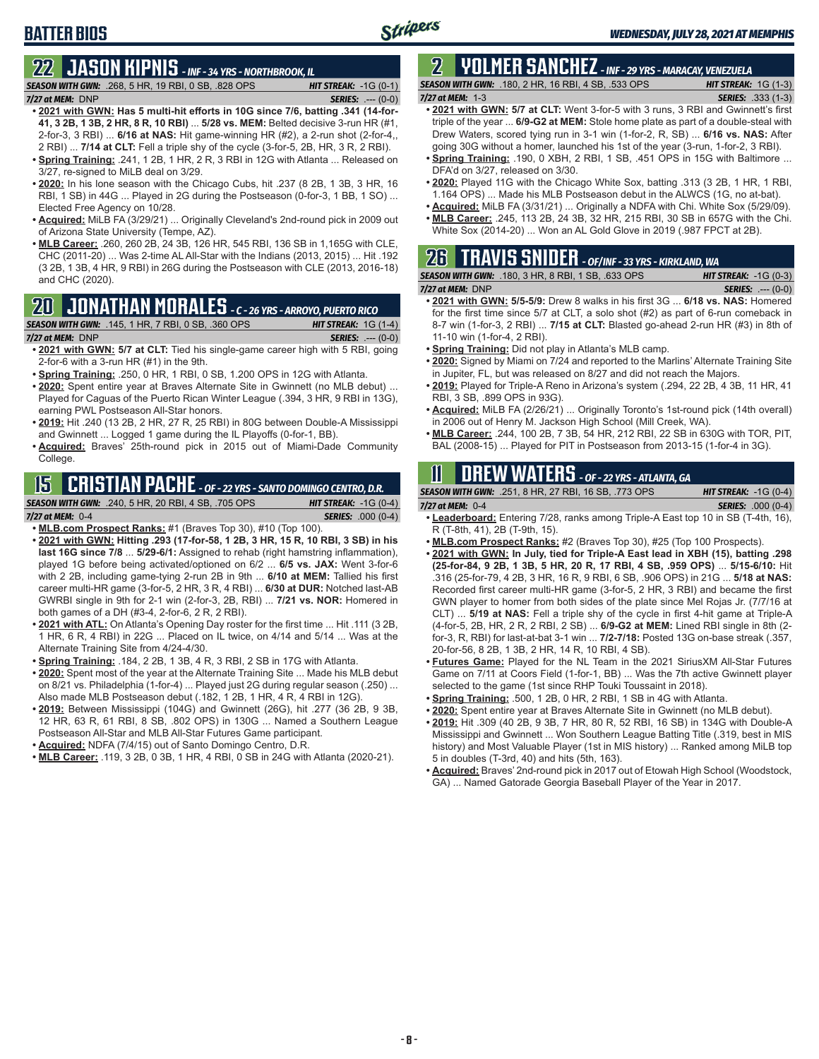## **BATTER BIOS**

## **22 JASON KIPNIS** *- INF - 34 YRS - NORTHBROOK, IL*

*SEASON WITH GWN:*.268, 5 HR, 19 RBI, 0 SB, .828 OPS *HIT STREAK:* -1G (0-1) *7/27 at MEM:*DNP *SERIES:* .--- (0-0)

- **• 2021 with GWN: Has 5 multi-hit efforts in 10G since 7/6, batting .341 (14-for-41, 3 2B, 1 3B, 2 HR, 8 R, 10 RBI)** ... **5/28 vs. MEM:** Belted decisive 3-run HR (#1, 2-for-3, 3 RBI) ... **6/16 at NAS:** Hit game-winning HR (#2), a 2-run shot (2-for-4,, 2 RBI) ... **7/14 at CLT:** Fell a triple shy of the cycle (3-for-5, 2B, HR, 3 R, 2 RBI).
- **• Spring Training:** .241, 1 2B, 1 HR, 2 R, 3 RBI in 12G with Atlanta ... Released on 3/27, re-signed to MiLB deal on 3/29.
- **• 2020:** In his lone season with the Chicago Cubs, hit .237 (8 2B, 1 3B, 3 HR, 16 RBI, 1 SB) in 44G ... Played in 2G during the Postseason (0-for-3, 1 BB, 1 SO) ... Elected Free Agency on 10/28.
- **• Acquired:** MiLB FA (3/29/21) ... Originally Cleveland's 2nd-round pick in 2009 out of Arizona State University (Tempe, AZ).
- **• MLB Career:** .260, 260 2B, 24 3B, 126 HR, 545 RBI, 136 SB in 1,165G with CLE, CHC (2011-20) ... Was 2-time AL All-Star with the Indians (2013, 2015) ... Hit .192 (3 2B, 1 3B, 4 HR, 9 RBI) in 26G during the Postseason with CLE (2013, 2016-18) and CHC (2020).

### **20 JONATHAN MORALES** *- C - 26 YRS - ARROYO, PUERTO RICO*

*SEASON WITH GWN:*.145, 1 HR, 7 RBI, 0 SB, .360 OPS *HIT STREAK:* 1G (1-4)

#### *7/27 at MEM:*DNP *SERIES:* .--- (0-0)

- **• 2021 with GWN: 5/7 at CLT:** Tied his single-game career high with 5 RBI, going 2-for-6 with a 3-run HR (#1) in the 9th.
- **• Spring Training:** .250, 0 HR, 1 RBI, 0 SB, 1.200 OPS in 12G with Atlanta.
- **• 2020:** Spent entire year at Braves Alternate Site in Gwinnett (no MLB debut) ... Played for Caguas of the Puerto Rican Winter League (.394, 3 HR, 9 RBI in 13G), earning PWL Postseason All-Star honors.
- **• 2019:** Hit .240 (13 2B, 2 HR, 27 R, 25 RBI) in 80G between Double-A Mississippi and Gwinnett ... Logged 1 game during the IL Playoffs (0-for-1, BB).
- **• Acquired:** Braves' 25th-round pick in 2015 out of Miami-Dade Community College.

## **15 CRISTIAN PACHE** *- OF - 22 YRS - SANTO DOMINGO CENTRO, D.R.*

#### *SEASON WITH GWN:*.240, 5 HR, 20 RBI, 4 SB, .705 OPS *HIT STREAK:* -1G (0-4)

*7/27 at MEM:* 0-4 *SERIES:* .000 (0-4)

- **• MLB.com Prospect Ranks:** #1 (Braves Top 30), #10 (Top 100).
- **• 2021 with GWN: Hitting .293 (17-for-58, 1 2B, 3 HR, 15 R, 10 RBI, 3 SB) in his last 16G since 7/8** ... **5/29-6/1:** Assigned to rehab (right hamstring inflammation), played 1G before being activated/optioned on 6/2 ... **6/5 vs. JAX:** Went 3-for-6 with 2 2B, including game-tying 2-run 2B in 9th ... **6/10 at MEM:** Tallied his first career multi-HR game (3-for-5, 2 HR, 3 R, 4 RBI) ... **6/30 at DUR:** Notched last-AB GWRBI single in 9th for 2-1 win (2-for-3, 2B, RBI) ... **7/21 vs. NOR:** Homered in both games of a DH (#3-4, 2-for-6, 2 R, 2 RBI).
- **• 2021 with ATL:** On Atlanta's Opening Day roster for the first time ... Hit .111 (3 2B, 1 HR, 6 R, 4 RBI) in 22G ... Placed on IL twice, on 4/14 and 5/14 ... Was at the Alternate Training Site from 4/24-4/30.
- **• Spring Training:** .184, 2 2B, 1 3B, 4 R, 3 RBI, 2 SB in 17G with Atlanta.
- **• 2020:** Spent most of the year at the Alternate Training Site ... Made his MLB debut on 8/21 vs. Philadelphia (1-for-4) ... Played just 2G during regular season (.250) ... Also made MLB Postseason debut (.182, 1 2B, 1 HR, 4 R, 4 RBI in 12G).
- **• 2019:** Between Mississippi (104G) and Gwinnett (26G), hit .277 (36 2B, 9 3B, 12 HR, 63 R, 61 RBI, 8 SB, .802 OPS) in 130G ... Named a Southern League Postseason All-Star and MLB All-Star Futures Game participant.
- **• Acquired:** NDFA (7/4/15) out of Santo Domingo Centro, D.R.
- **• MLB Career:** .119, 3 2B, 0 3B, 1 HR, 4 RBI, 0 SB in 24G with Atlanta (2020-21).

#### **2 YOLMER SANCHEZ** *- INF - 29 YRS - MARACAY, VENEZUELA SEASON WITH GWN:*.180, 2 HR, 16 RBI, 4 SB, .533 OPS *HIT STREAK:* 1G (1-3)

#### *7/27 at MEM:*1-3 *SERIES:* .333 (1-3)

- **• 2021 with GWN: 5/7 at CLT:** Went 3-for-5 with 3 runs, 3 RBI and Gwinnett's first triple of the year ... **6/9-G2 at MEM:** Stole home plate as part of a double-steal with Drew Waters, scored tying run in 3-1 win (1-for-2, R, SB) ... **6/16 vs. NAS:** After going 30G without a homer, launched his 1st of the year (3-run, 1-for-2, 3 RBI).
- **• Spring Training:** .190, 0 XBH, 2 RBI, 1 SB, .451 OPS in 15G with Baltimore ... DFA'd on 3/27, released on 3/30.
- **• 2020:** Played 11G with the Chicago White Sox, batting .313 (3 2B, 1 HR, 1 RBI, 1.164 OPS) ... Made his MLB Postseason debut in the ALWCS (1G, no at-bat).
- **• Acquired:** MiLB FA (3/31/21) ... Originally a NDFA with Chi. White Sox (5/29/09).
- **• MLB Career:** .245, 113 2B, 24 3B, 32 HR, 215 RBI, 30 SB in 657G with the Chi. White Sox (2014-20) ... Won an AL Gold Glove in 2019 (.987 FPCT at 2B).

#### **26 TRAVIS SNIDER** *- OF/INF - 33 YRS - KIRKLAND, WA SEASON WITH GWN:*.180, 3 HR, 8 RBI, 1 SB, .633 OPS *HIT STREAK:* -1G (0-3) *7/27 at MEM:* DNP *SERIES:* .--- (0-0)

- **• 2021 with GWN: 5/5-5/9:** Drew 8 walks in his first 3G ... **6/18 vs. NAS:** Homered for the first time since 5/7 at CLT, a solo shot (#2) as part of 6-run comeback in 8-7 win (1-for-3, 2 RBI) ... **7/15 at CLT:** Blasted go-ahead 2-run HR (#3) in 8th of 11-10 win (1-for-4, 2 RBI).
- **• Spring Training:** Did not play in Atlanta's MLB camp.
- **• 2020:** Signed by Miami on 7/24 and reported to the Marlins' Alternate Training Site in Jupiter, FL, but was released on 8/27 and did not reach the Majors.
- **• 2019:** Played for Triple-A Reno in Arizona's system (.294, 22 2B, 4 3B, 11 HR, 41 RBI, 3 SB, .899 OPS in 93G).
- **• Acquired:** MiLB FA (2/26/21) ... Originally Toronto's 1st-round pick (14th overall) in 2006 out of Henry M. Jackson High School (Mill Creek, WA).
- **• MLB Career:** .244, 100 2B, 7 3B, 54 HR, 212 RBI, 22 SB in 630G with TOR, PIT, BAL (2008-15) ... Played for PIT in Postseason from 2013-15 (1-for-4 in 3G).

### **11 Drew WATERS** *- OF - 22 YRS - ATLANTA, GA*

| <b>SEASON WITH GWN:</b> .251, 8 HR, 27 RBI, 16 SB, .773 OPS |        |  |  | <b>HIT STREAK:</b> $-1G(0-4)$ |  |
|-------------------------------------------------------------|--------|--|--|-------------------------------|--|
| 7/27 at MEM: $0-4$                                          |        |  |  | <b>SERIES:</b> .000 (0-4)     |  |
|                                                             | $-1-1$ |  |  |                               |  |

- **• Leaderboard:** Entering 7/28, ranks among Triple-A East top 10 in SB (T-4th, 16), R (T-8th, 41), 2B (T-9th, 15).
- **• MLB.com Prospect Ranks:** #2 (Braves Top 30), #25 (Top 100 Prospects).
- **• 2021 with GWN: In July, tied for Triple-A East lead in XBH (15), batting .298 (25-for-84, 9 2B, 1 3B, 5 HR, 20 R, 17 RBI, 4 SB, .959 OPS)** ... **5/15-6/10:** Hit .316 (25-for-79, 4 2B, 3 HR, 16 R, 9 RBI, 6 SB, .906 OPS) in 21G ... **5/18 at NAS:** Recorded first career multi-HR game (3-for-5, 2 HR, 3 RBI) and became the first GWN player to homer from both sides of the plate since Mel Rojas Jr. (7/7/16 at CLT) ... **5/19 at NAS:** Fell a triple shy of the cycle in first 4-hit game at Triple-A (4-for-5, 2B, HR, 2 R, 2 RBI, 2 SB) ... **6/9-G2 at MEM:** Lined RBI single in 8th (2 for-3, R, RBI) for last-at-bat 3-1 win ... **7/2-7/18:** Posted 13G on-base streak (.357, 20-for-56, 8 2B, 1 3B, 2 HR, 14 R, 10 RBI, 4 SB).
- **• Futures Game:** Played for the NL Team in the 2021 SiriusXM All-Star Futures Game on 7/11 at Coors Field (1-for-1, BB) ... Was the 7th active Gwinnett player selected to the game (1st since RHP Touki Toussaint in 2018).
- **• Spring Training:** .500, 1 2B, 0 HR, 2 RBI, 1 SB in 4G with Atlanta.
- **• 2020:** Spent entire year at Braves Alternate Site in Gwinnett (no MLB debut).
- **• 2019:** Hit .309 (40 2B, 9 3B, 7 HR, 80 R, 52 RBI, 16 SB) in 134G with Double-A Mississippi and Gwinnett ... Won Southern League Batting Title (.319, best in MIS history) and Most Valuable Player (1st in MIS history) ... Ranked among MiLB top 5 in doubles (T-3rd, 40) and hits (5th, 163).
- **• Acquired:** Braves' 2nd-round pick in 2017 out of Etowah High School (Woodstock, GA) ... Named Gatorade Georgia Baseball Player of the Year in 2017.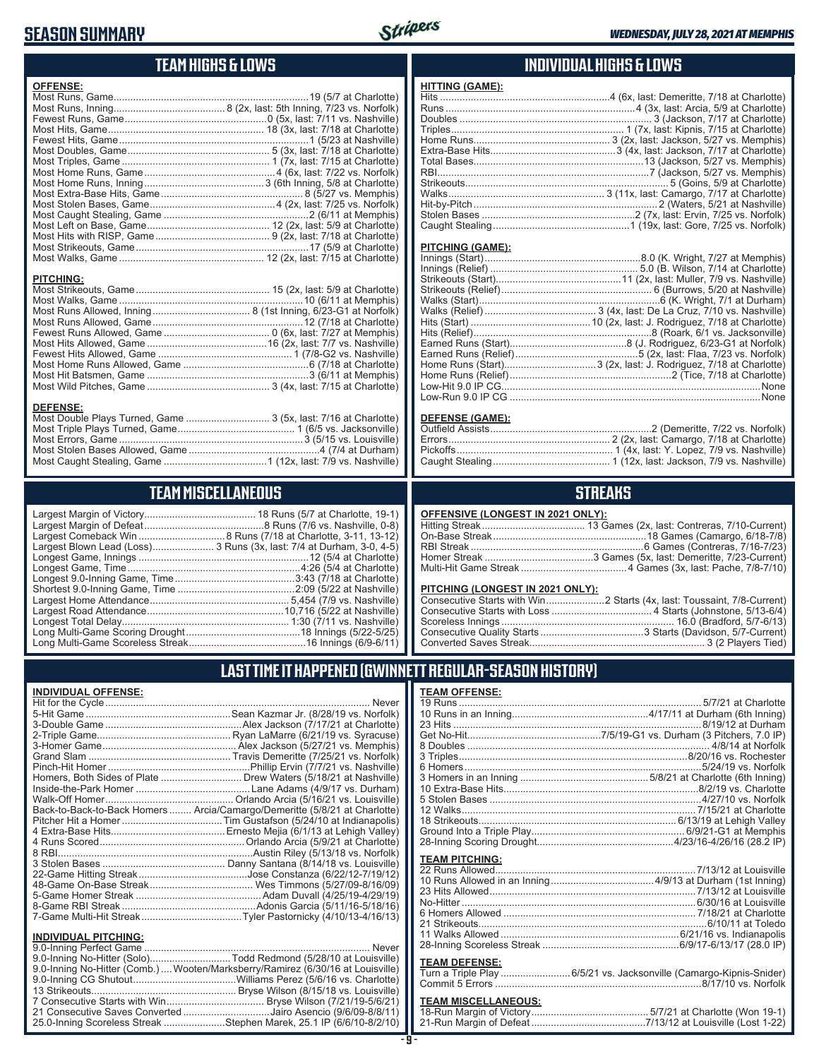### **SEASON SUMMARY**



#### **TEAM HIGHS & LOWS**

| <b>OFFENSE:</b>  |  |
|------------------|--|
|                  |  |
|                  |  |
|                  |  |
|                  |  |
|                  |  |
|                  |  |
|                  |  |
|                  |  |
|                  |  |
|                  |  |
|                  |  |
|                  |  |
|                  |  |
|                  |  |
|                  |  |
|                  |  |
|                  |  |
| <b>PITCHING:</b> |  |
|                  |  |
|                  |  |
|                  |  |

Most Runs Allowed, Game ......................................................12 (7/18 at Charlotte) Fewest Runs Allowed, Game ...................................... 0 (6x, last: 7/27 at Memphis) Most Hits Allowed, Game ...........................................16 (2x, last: 7/7 vs. Nashville) Fewest Hits Allowed, Game ................................................ 1 (7/8-G2 vs. Nashville) Most Home Runs Allowed, Game .............................................6 (7/18 at Charlotte) Most Hit Batsmen, Game ..........................................................3 (6/11 at Memphis) Most Wild Pitches, Game ............................................ 3 (4x, last: 7/15 at Charlotte)

Most Double Plays Turned, Game .............................. 3 (5x, last: 7/16 at Charlotte) Most Triple Plays Turned, Game .......................................... 1 (6/5 vs. Jacksonville) Most Errors, Game ..................................................................3 (5/15 vs. Louisville) Most Stolen Bases Allowed, Game ...............................................4 (7/4 at Durham) Most Caught Stealing, Game .....................................1 (12x, last: 7/9 vs. Nashville)

**TEAM MISCELLANEOUS**

#### **INDIVIDUAL HIGHS & LOWS**

| . |                                                                       |
|---|-----------------------------------------------------------------------|
|   | Hits ………………………………………………………4 (6x, last: Demeritte, 7/18 at Charlotte)  |
|   |                                                                       |
|   |                                                                       |
|   |                                                                       |
|   |                                                                       |
|   |                                                                       |
|   |                                                                       |
|   |                                                                       |
|   |                                                                       |
|   |                                                                       |
|   |                                                                       |
|   |                                                                       |
|   | Caught Stealing……………………………………………1 (19x, last: Gore, 7/25 vs. Norfolk) |
|   |                                                                       |

#### **PITCHING (GAME):**

**HITTING (GAME):**

#### **DEFENSE (GAME):**

#### **STREAKS**

#### **OFFENSIVE (LONGEST IN 2021 ONLY):**

#### **PITCHING (LONGEST IN 2021 ONLY):**

#### **LAST TIME IT HAPPENED (GWINNETT REGULAR-SEASON HISTORY)**

#### **TEAM OFFENSE:**

| <b>TEAM PITCHING:</b> |  |
|-----------------------|--|
|                       |  |
|                       |  |
|                       |  |
|                       |  |
|                       |  |
|                       |  |
|                       |  |
|                       |  |
| <b>TEAM DEFENSE:</b>  |  |
|                       |  |

#### **TEAM DEFENSE:** Turn a Triple Play .........................6/5/21 vs. Jacksonville (Camargo-Kipnis-Snider) Commit 5 Errors ..........................................................................8/17/10 vs. Norfolk

#### **TEAM MISCELLANEOUS:**

Longest 9.0-Inning Game, Time ...........................................3:43 (7/18 at Charlotte) Shortest 9.0-Inning Game, Time ..........................................2:09 (5/22 at Nashville) Largest Home Attendance .................................................. 5,454 (7/9 vs. Nashville) Largest Road Attendance .................................................10,716 (5/22 at Nashville) Longest Total Delay............................................................ 1:30 (7/11 vs. Nashville) Long Multi-Game Scoring Drought .........................................18 Innings (5/22-5/25)

Largest Margin of Victory........................................ 18 Runs (5/7 at Charlotte, 19-1) Largest Margin of Defeat ...........................................8 Runs (7/6 vs. Nashville, 0-8) Largest Comeback Win ...............................8 Runs (7/18 at Charlotte, 3-11, 13-12) Largest Blown Lead (Loss)...................... 3 Runs (3x, last: 7/4 at Durham, 3-0, 4-5) Longest Game, Innings .............................................................12 (5/4 at Charlotte) Longest Game, Time ..............................................................4:26 (5/4 at Charlotte) Long Multi-Game Scoreless Streak ..........................................16 Innings (6/9-6/11)

#### **INDIVIDUAL OFFENSE:**

**DEFENSE:**

| Never                                                                      |
|----------------------------------------------------------------------------|
| Sean Kazmar Jr. (8/28/19 vs. Norfolk)                                      |
|                                                                            |
|                                                                            |
|                                                                            |
|                                                                            |
|                                                                            |
|                                                                            |
|                                                                            |
|                                                                            |
| Back-to-Back-to-Back Homers  Arcia/Camargo/Demeritte (5/8/21 at Charlotte) |
|                                                                            |
|                                                                            |
|                                                                            |
|                                                                            |
|                                                                            |
|                                                                            |
|                                                                            |
|                                                                            |
|                                                                            |
|                                                                            |
|                                                                            |

#### **INDIVIDUAL PITCHING:**

| 9.0-Inning No-Hitter (Solo)Todd Redmond (5/28/10 at Louisville)                 |
|---------------------------------------------------------------------------------|
| 9.0-Inning No-Hitter (Comb.)  Wooten/Marksberry/Ramirez (6/30/16 at Louisville) |
|                                                                                 |
|                                                                                 |
|                                                                                 |
| 21 Consecutive Saves Converted Jairo Asencio (9/6/09-8/8/11)                    |
| 25.0-Inning Scoreless Streak Stephen Marek, 25.1 IP (6/6/10-8/2/10)             |